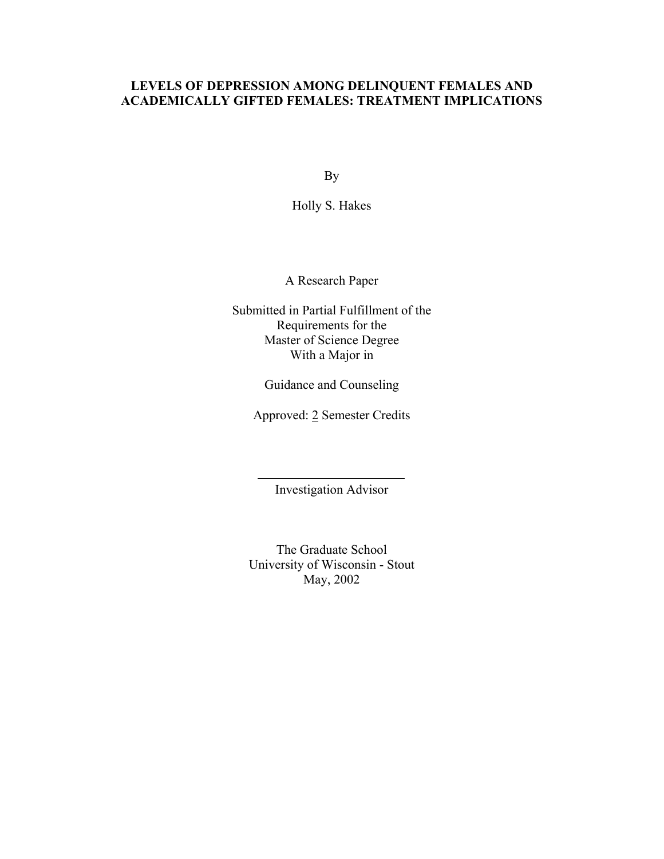# **LEVELS OF DEPRESSION AMONG DELINQUENT FEMALES AND ACADEMICALLY GIFTED FEMALES: TREATMENT IMPLICATIONS**

By

Holly S. Hakes

A Research Paper

Submitted in Partial Fulfillment of the Requirements for the Master of Science Degree With a Major in

Guidance and Counseling

Approved: 2 Semester Credits

Investigation Advisor

The Graduate School University of Wisconsin - Stout May, 2002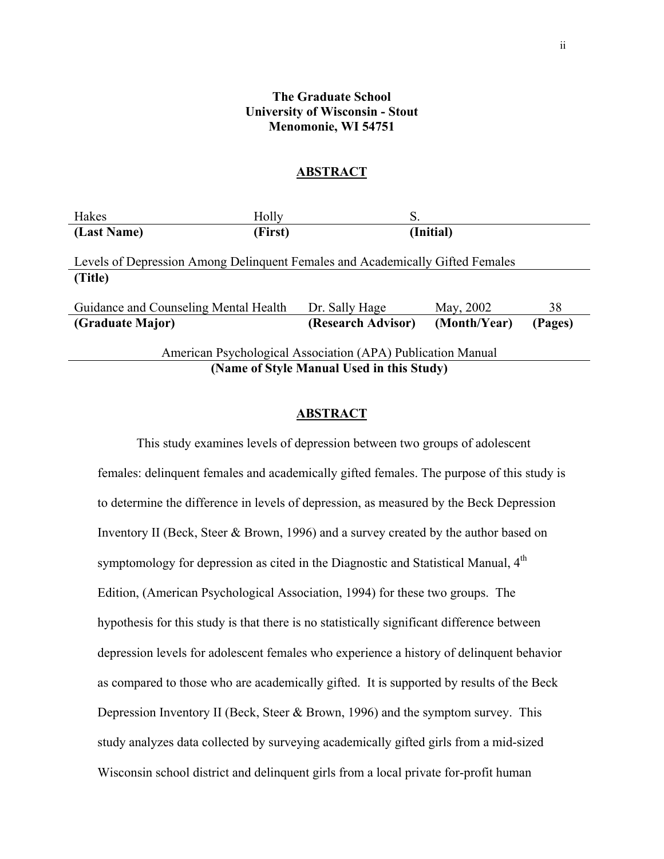## **The Graduate School University of Wisconsin - Stout Menomonie, WI 54751**

#### **ABSTRACT**

| Hakes                                                                         | Holly   | S.                 |              |         |  |  |  |
|-------------------------------------------------------------------------------|---------|--------------------|--------------|---------|--|--|--|
| (Last Name)                                                                   | (First) |                    | (Initial)    |         |  |  |  |
| Levels of Depression Among Delinquent Females and Academically Gifted Females |         |                    |              |         |  |  |  |
| (Title)                                                                       |         |                    |              |         |  |  |  |
| Guidance and Counseling Mental Health                                         |         | Dr. Sally Hage     | May, 2002    | 38      |  |  |  |
| (Graduate Major)                                                              |         | (Research Advisor) | (Month/Year) | (Pages) |  |  |  |
| American Psychological Association (APA) Publication Manual                   |         |                    |              |         |  |  |  |
| (Name of Style Manual Used in this Study)                                     |         |                    |              |         |  |  |  |

#### **ABSTRACT**

This study examines levels of depression between two groups of adolescent females: delinquent females and academically gifted females. The purpose of this study is to determine the difference in levels of depression, as measured by the Beck Depression Inventory II (Beck, Steer & Brown, 1996) and a survey created by the author based on symptomology for depression as cited in the Diagnostic and Statistical Manual,  $4<sup>th</sup>$ Edition, (American Psychological Association, 1994) for these two groups. The hypothesis for this study is that there is no statistically significant difference between depression levels for adolescent females who experience a history of delinquent behavior as compared to those who are academically gifted. It is supported by results of the Beck Depression Inventory II (Beck, Steer & Brown, 1996) and the symptom survey. This study analyzes data collected by surveying academically gifted girls from a mid-sized Wisconsin school district and delinquent girls from a local private for-profit human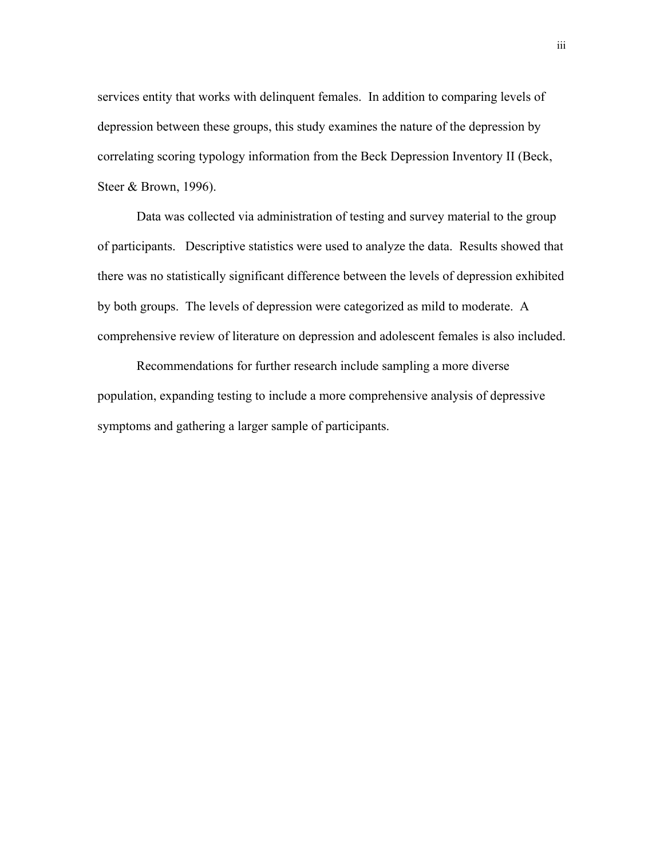services entity that works with delinquent females. In addition to comparing levels of depression between these groups, this study examines the nature of the depression by correlating scoring typology information from the Beck Depression Inventory II (Beck, Steer & Brown, 1996).

Data was collected via administration of testing and survey material to the group of participants. Descriptive statistics were used to analyze the data. Results showed that there was no statistically significant difference between the levels of depression exhibited by both groups. The levels of depression were categorized as mild to moderate. A comprehensive review of literature on depression and adolescent females is also included.

Recommendations for further research include sampling a more diverse population, expanding testing to include a more comprehensive analysis of depressive symptoms and gathering a larger sample of participants.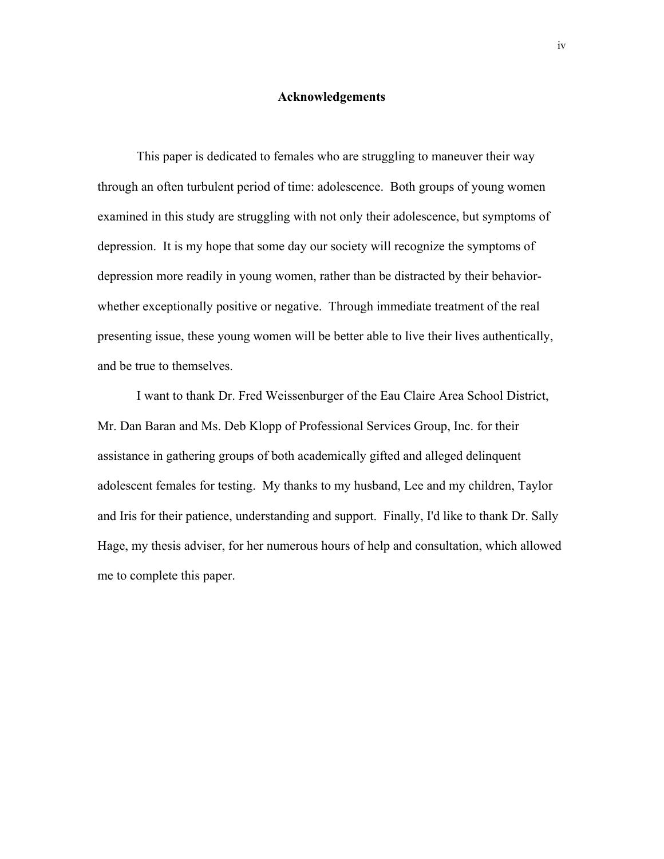#### **Acknowledgements**

This paper is dedicated to females who are struggling to maneuver their way through an often turbulent period of time: adolescence. Both groups of young women examined in this study are struggling with not only their adolescence, but symptoms of depression. It is my hope that some day our society will recognize the symptoms of depression more readily in young women, rather than be distracted by their behaviorwhether exceptionally positive or negative. Through immediate treatment of the real presenting issue, these young women will be better able to live their lives authentically, and be true to themselves.

I want to thank Dr. Fred Weissenburger of the Eau Claire Area School District, Mr. Dan Baran and Ms. Deb Klopp of Professional Services Group, Inc. for their assistance in gathering groups of both academically gifted and alleged delinquent adolescent females for testing. My thanks to my husband, Lee and my children, Taylor and Iris for their patience, understanding and support. Finally, I'd like to thank Dr. Sally Hage, my thesis adviser, for her numerous hours of help and consultation, which allowed me to complete this paper.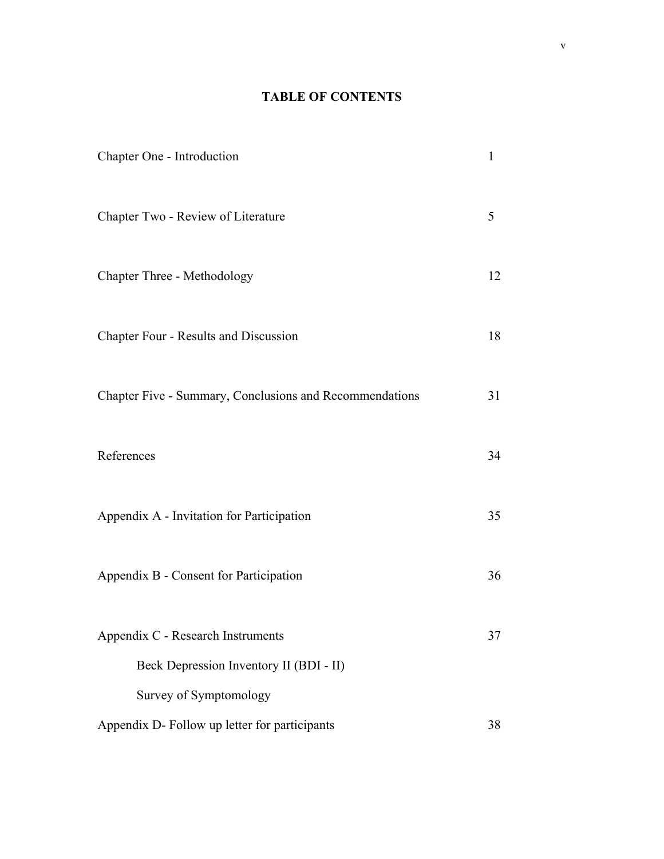# **TABLE OF CONTENTS**

| Chapter One - Introduction                              | 1  |
|---------------------------------------------------------|----|
| Chapter Two - Review of Literature                      | 5  |
| Chapter Three - Methodology                             | 12 |
| Chapter Four - Results and Discussion                   | 18 |
| Chapter Five - Summary, Conclusions and Recommendations | 31 |
| References                                              | 34 |
| Appendix A - Invitation for Participation               | 35 |
| Appendix B - Consent for Participation                  | 36 |
| Appendix C - Research Instruments                       | 37 |
| Beck Depression Inventory II (BDI - II)                 |    |
| Survey of Symptomology                                  |    |
| Appendix D- Follow up letter for participants           | 38 |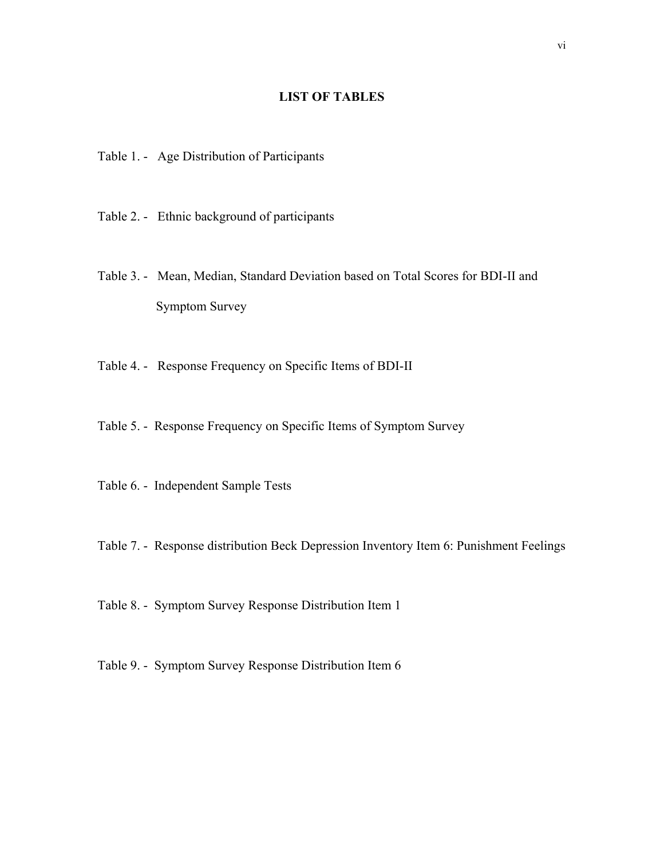# **LIST OF TABLES**

- Table 1. Age Distribution of Participants
- Table 2. Ethnic background of participants
- Table 3. Mean, Median, Standard Deviation based on Total Scores for BDI-II and Symptom Survey
- Table 4. Response Frequency on Specific Items of BDI-II
- Table 5. Response Frequency on Specific Items of Symptom Survey
- Table 6. Independent Sample Tests
- Table 7. Response distribution Beck Depression Inventory Item 6: Punishment Feelings
- Table 8. Symptom Survey Response Distribution Item 1
- Table 9. Symptom Survey Response Distribution Item 6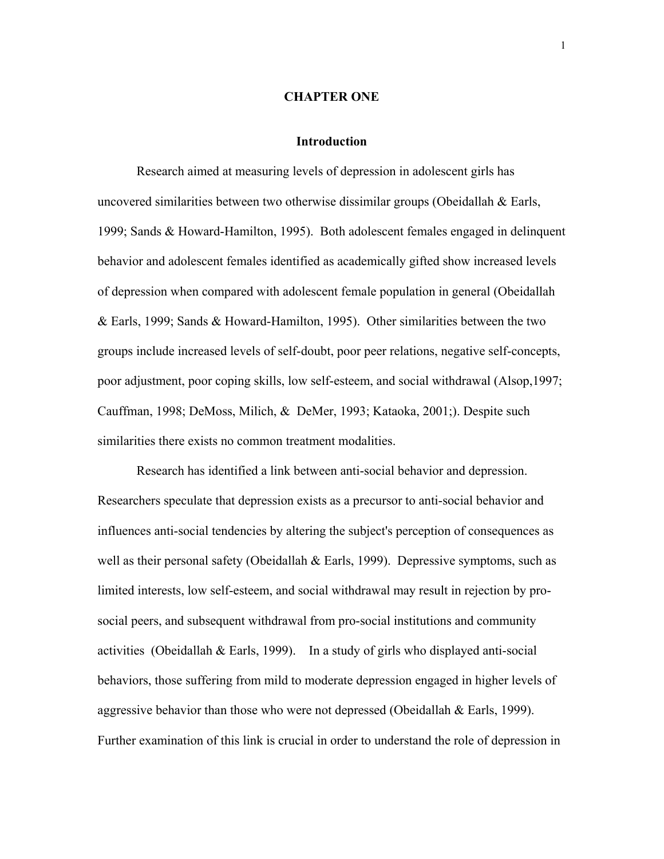## **CHAPTER ONE**

#### **Introduction**

Research aimed at measuring levels of depression in adolescent girls has uncovered similarities between two otherwise dissimilar groups (Obeidallah & Earls, 1999; Sands & Howard-Hamilton, 1995). Both adolescent females engaged in delinquent behavior and adolescent females identified as academically gifted show increased levels of depression when compared with adolescent female population in general (Obeidallah & Earls, 1999; Sands & Howard-Hamilton, 1995). Other similarities between the two groups include increased levels of self-doubt, poor peer relations, negative self-concepts, poor adjustment, poor coping skills, low self-esteem, and social withdrawal (Alsop,1997; Cauffman, 1998; DeMoss, Milich, & DeMer, 1993; Kataoka, 2001;). Despite such similarities there exists no common treatment modalities.

Research has identified a link between anti-social behavior and depression. Researchers speculate that depression exists as a precursor to anti-social behavior and influences anti-social tendencies by altering the subject's perception of consequences as well as their personal safety (Obeidallah & Earls, 1999). Depressive symptoms, such as limited interests, low self-esteem, and social withdrawal may result in rejection by prosocial peers, and subsequent withdrawal from pro-social institutions and community activities (Obeidallah & Earls, 1999). In a study of girls who displayed anti-social behaviors, those suffering from mild to moderate depression engaged in higher levels of aggressive behavior than those who were not depressed (Obeidallah & Earls, 1999). Further examination of this link is crucial in order to understand the role of depression in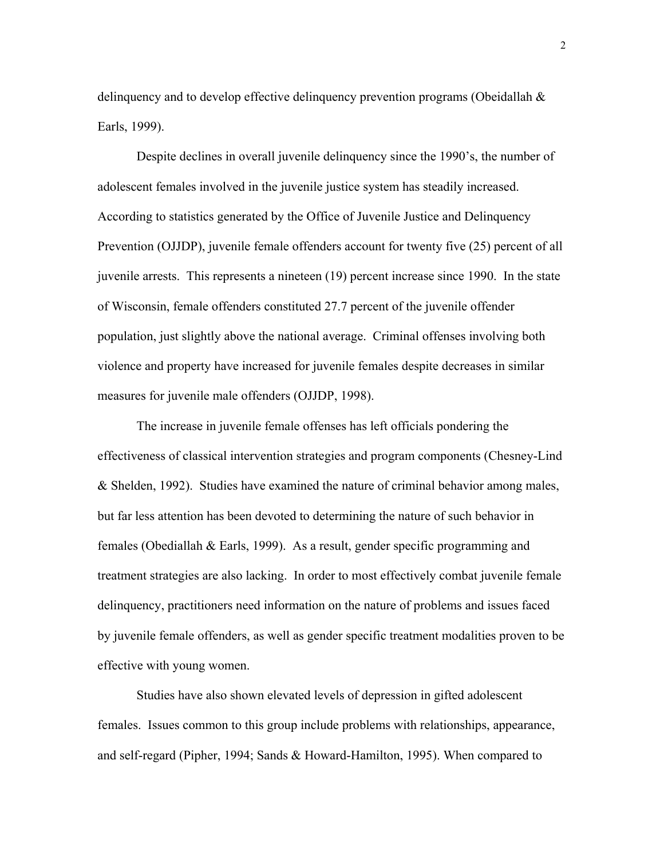delinquency and to develop effective delinquency prevention programs (Obeidallah & Earls, 1999).

Despite declines in overall juvenile delinquency since the 1990's, the number of adolescent females involved in the juvenile justice system has steadily increased. According to statistics generated by the Office of Juvenile Justice and Delinquency Prevention (OJJDP), juvenile female offenders account for twenty five (25) percent of all juvenile arrests. This represents a nineteen (19) percent increase since 1990. In the state of Wisconsin, female offenders constituted 27.7 percent of the juvenile offender population, just slightly above the national average. Criminal offenses involving both violence and property have increased for juvenile females despite decreases in similar measures for juvenile male offenders (OJJDP, 1998).

The increase in juvenile female offenses has left officials pondering the effectiveness of classical intervention strategies and program components (Chesney-Lind & Shelden, 1992). Studies have examined the nature of criminal behavior among males, but far less attention has been devoted to determining the nature of such behavior in females (Obediallah & Earls, 1999). As a result, gender specific programming and treatment strategies are also lacking. In order to most effectively combat juvenile female delinquency, practitioners need information on the nature of problems and issues faced by juvenile female offenders, as well as gender specific treatment modalities proven to be effective with young women.

Studies have also shown elevated levels of depression in gifted adolescent females. Issues common to this group include problems with relationships, appearance, and self-regard (Pipher, 1994; Sands & Howard-Hamilton, 1995). When compared to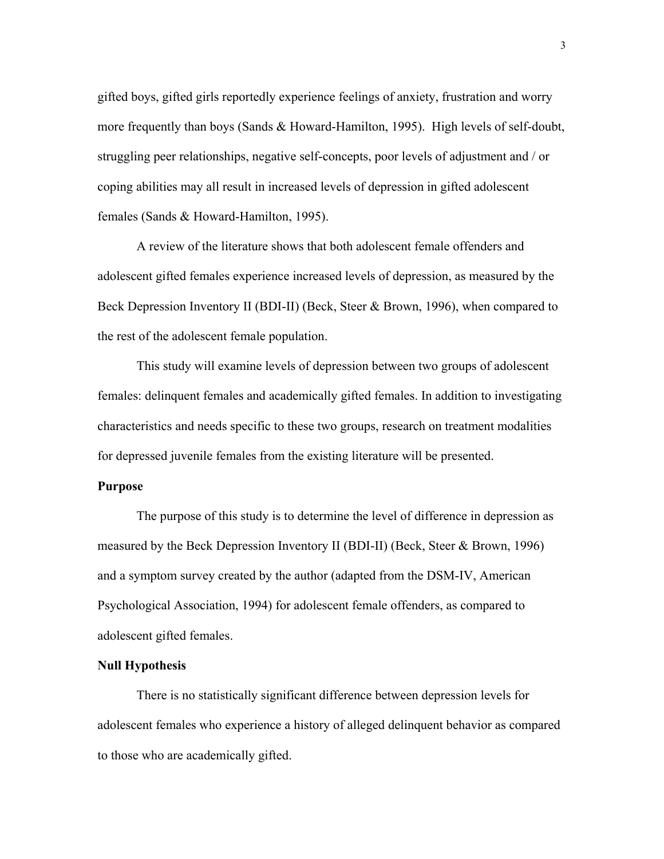gifted boys, gifted girls reportedly experience feelings of anxiety, frustration and worry more frequently than boys (Sands & Howard-Hamilton, 1995). High levels of self-doubt, struggling peer relationships, negative self-concepts, poor levels of adjustment and / or coping abilities may all result in increased levels of depression in gifted adolescent females (Sands & Howard-Hamilton, 1995).

A review of the literature shows that both adolescent female offenders and adolescent gifted females experience increased levels of depression, as measured by the Beck Depression Inventory II (BDI-II) (Beck, Steer & Brown, 1996), when compared to the rest of the adolescent female population.

This study will examine levels of depression between two groups of adolescent females: delinquent females and academically gifted females. In addition to investigating characteristics and needs specific to these two groups, research on treatment modalities for depressed juvenile females from the existing literature will be presented.

### **Purpose**

The purpose of this study is to determine the level of difference in depression as measured by the Beck Depression Inventory II (BDI-II) (Beck, Steer & Brown, 1996) and a symptom survey created by the author (adapted from the DSM-IV, American Psychological Association, 1994) for adolescent female offenders, as compared to adolescent gifted females.

#### **Null Hypothesis**

There is no statistically significant difference between depression levels for adolescent females who experience a history of alleged delinquent behavior as compared to those who are academically gifted.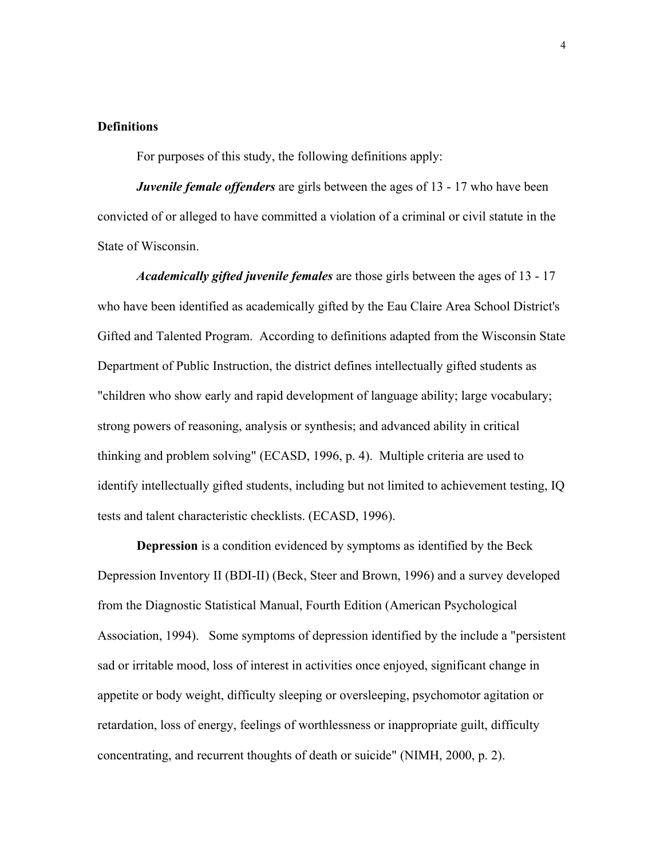## **Definitions**

For purposes of this study, the following definitions apply:

*Juvenile female offenders* are girls between the ages of 13 - 17 who have been convicted of or alleged to have committed a violation of a criminal or civil statute in the State of Wisconsin.

*Academically gifted juvenile females* are those girls between the ages of 13 - 17 who have been identified as academically gifted by the Eau Claire Area School District's Gifted and Talented Program. According to definitions adapted from the Wisconsin State Department of Public Instruction, the district defines intellectually gifted students as "children who show early and rapid development of language ability; large vocabulary; strong powers of reasoning, analysis or synthesis; and advanced ability in critical thinking and problem solving" (ECASD, 1996, p. 4). Multiple criteria are used to identify intellectually gifted students, including but not limited to achievement testing, IQ tests and talent characteristic checklists. (ECASD, 1996).

**Depression** is a condition evidenced by symptoms as identified by the Beck Depression Inventory II (BDI-II) (Beck, Steer and Brown, 1996) and a survey developed from the Diagnostic Statistical Manual, Fourth Edition (American Psychological Association, 1994). Some symptoms of depression identified by the include a "persistent sad or irritable mood, loss of interest in activities once enjoyed, significant change in appetite or body weight, difficulty sleeping or oversleeping, psychomotor agitation or retardation, loss of energy, feelings of worthlessness or inappropriate guilt, difficulty concentrating, and recurrent thoughts of death or suicide" (NIMH, 2000, p. 2).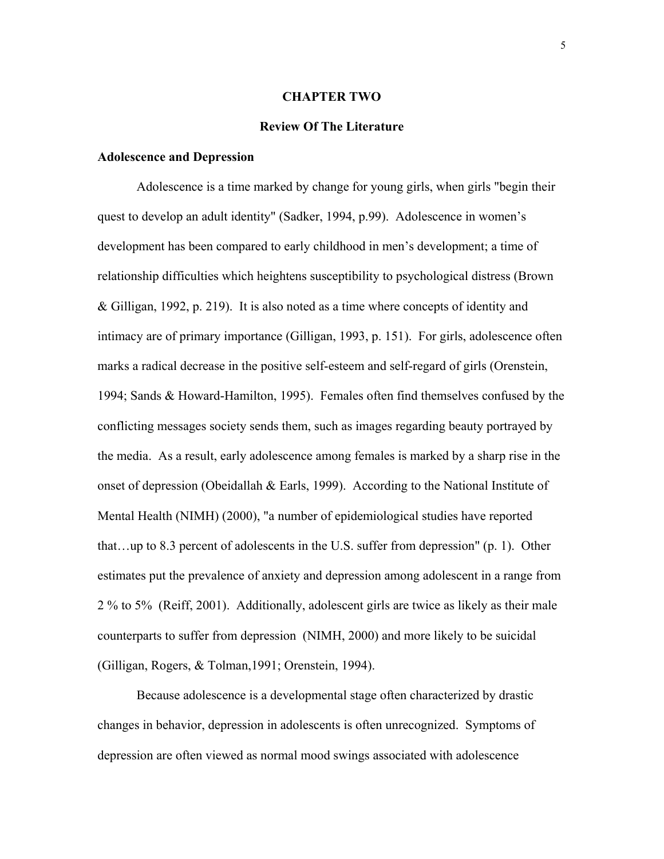## **CHAPTER TWO**

#### **Review Of The Literature**

#### **Adolescence and Depression**

Adolescence is a time marked by change for young girls, when girls "begin their quest to develop an adult identity" (Sadker, 1994, p.99). Adolescence in women's development has been compared to early childhood in men's development; a time of relationship difficulties which heightens susceptibility to psychological distress (Brown & Gilligan, 1992, p. 219). It is also noted as a time where concepts of identity and intimacy are of primary importance (Gilligan, 1993, p. 151). For girls, adolescence often marks a radical decrease in the positive self-esteem and self-regard of girls (Orenstein, 1994; Sands & Howard-Hamilton, 1995). Females often find themselves confused by the conflicting messages society sends them, such as images regarding beauty portrayed by the media. As a result, early adolescence among females is marked by a sharp rise in the onset of depression (Obeidallah & Earls, 1999). According to the National Institute of Mental Health (NIMH) (2000), "a number of epidemiological studies have reported that…up to 8.3 percent of adolescents in the U.S. suffer from depression" (p. 1). Other estimates put the prevalence of anxiety and depression among adolescent in a range from 2 % to 5% (Reiff, 2001). Additionally, adolescent girls are twice as likely as their male counterparts to suffer from depression (NIMH, 2000) and more likely to be suicidal (Gilligan, Rogers, & Tolman,1991; Orenstein, 1994).

Because adolescence is a developmental stage often characterized by drastic changes in behavior, depression in adolescents is often unrecognized. Symptoms of depression are often viewed as normal mood swings associated with adolescence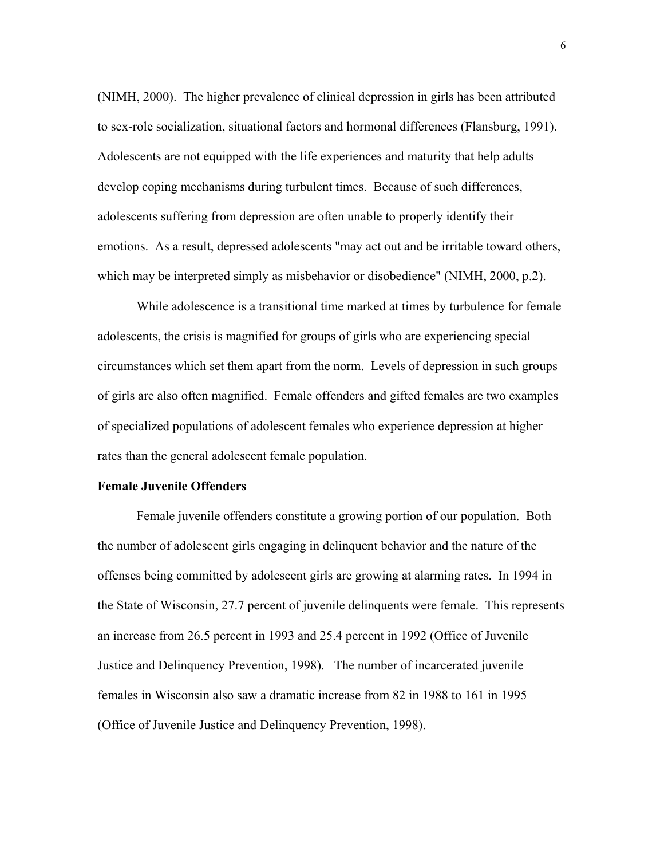(NIMH, 2000). The higher prevalence of clinical depression in girls has been attributed to sex-role socialization, situational factors and hormonal differences (Flansburg, 1991). Adolescents are not equipped with the life experiences and maturity that help adults develop coping mechanisms during turbulent times. Because of such differences, adolescents suffering from depression are often unable to properly identify their emotions. As a result, depressed adolescents "may act out and be irritable toward others, which may be interpreted simply as misbehavior or disobedience" (NIMH, 2000, p.2).

While adolescence is a transitional time marked at times by turbulence for female adolescents, the crisis is magnified for groups of girls who are experiencing special circumstances which set them apart from the norm. Levels of depression in such groups of girls are also often magnified. Female offenders and gifted females are two examples of specialized populations of adolescent females who experience depression at higher rates than the general adolescent female population.

## **Female Juvenile Offenders**

Female juvenile offenders constitute a growing portion of our population. Both the number of adolescent girls engaging in delinquent behavior and the nature of the offenses being committed by adolescent girls are growing at alarming rates. In 1994 in the State of Wisconsin, 27.7 percent of juvenile delinquents were female. This represents an increase from 26.5 percent in 1993 and 25.4 percent in 1992 (Office of Juvenile Justice and Delinquency Prevention, 1998). The number of incarcerated juvenile females in Wisconsin also saw a dramatic increase from 82 in 1988 to 161 in 1995 (Office of Juvenile Justice and Delinquency Prevention, 1998).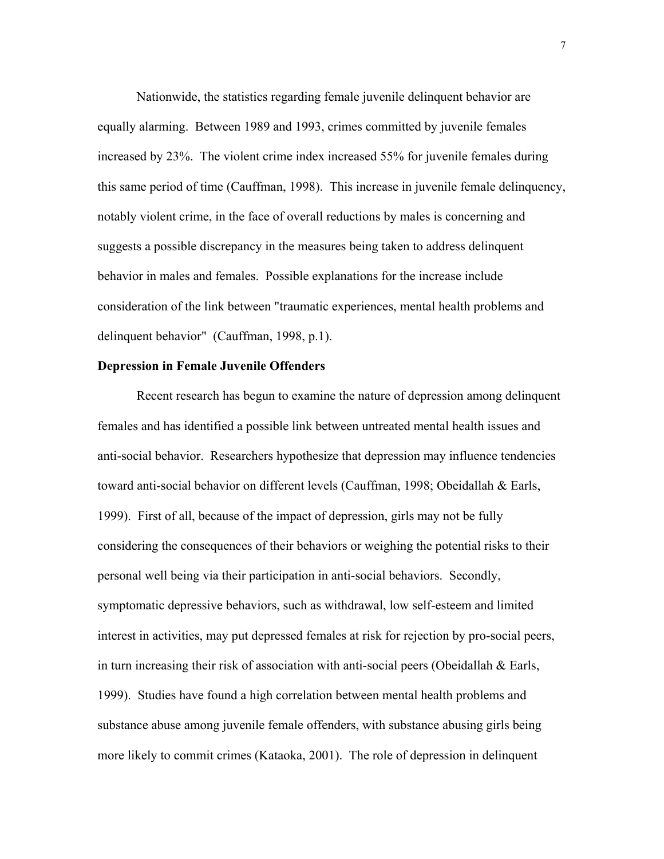Nationwide, the statistics regarding female juvenile delinquent behavior are equally alarming. Between 1989 and 1993, crimes committed by juvenile females increased by 23%. The violent crime index increased 55% for juvenile females during this same period of time (Cauffman, 1998). This increase in juvenile female delinquency, notably violent crime, in the face of overall reductions by males is concerning and suggests a possible discrepancy in the measures being taken to address delinquent behavior in males and females. Possible explanations for the increase include consideration of the link between "traumatic experiences, mental health problems and delinquent behavior" (Cauffman, 1998, p.1).

#### **Depression in Female Juvenile Offenders**

Recent research has begun to examine the nature of depression among delinquent females and has identified a possible link between untreated mental health issues and anti-social behavior. Researchers hypothesize that depression may influence tendencies toward anti-social behavior on different levels (Cauffman, 1998; Obeidallah & Earls, 1999). First of all, because of the impact of depression, girls may not be fully considering the consequences of their behaviors or weighing the potential risks to their personal well being via their participation in anti-social behaviors. Secondly, symptomatic depressive behaviors, such as withdrawal, low self-esteem and limited interest in activities, may put depressed females at risk for rejection by pro-social peers, in turn increasing their risk of association with anti-social peers (Obeidallah & Earls, 1999). Studies have found a high correlation between mental health problems and substance abuse among juvenile female offenders, with substance abusing girls being more likely to commit crimes (Kataoka, 2001). The role of depression in delinquent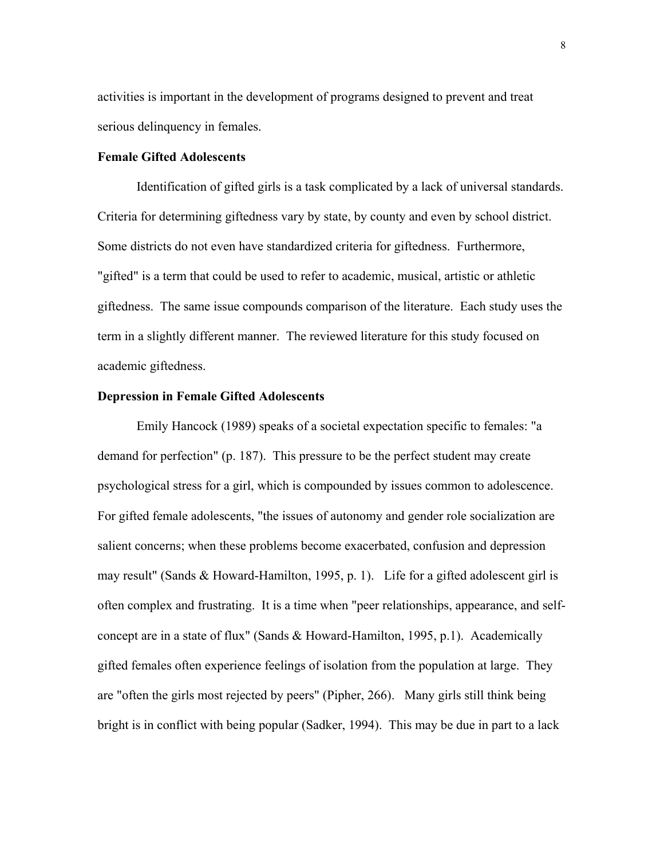activities is important in the development of programs designed to prevent and treat serious delinquency in females.

## **Female Gifted Adolescents**

Identification of gifted girls is a task complicated by a lack of universal standards. Criteria for determining giftedness vary by state, by county and even by school district. Some districts do not even have standardized criteria for giftedness. Furthermore, "gifted" is a term that could be used to refer to academic, musical, artistic or athletic giftedness. The same issue compounds comparison of the literature. Each study uses the term in a slightly different manner. The reviewed literature for this study focused on academic giftedness.

## **Depression in Female Gifted Adolescents**

Emily Hancock (1989) speaks of a societal expectation specific to females: "a demand for perfection" (p. 187). This pressure to be the perfect student may create psychological stress for a girl, which is compounded by issues common to adolescence. For gifted female adolescents, "the issues of autonomy and gender role socialization are salient concerns; when these problems become exacerbated, confusion and depression may result" (Sands & Howard-Hamilton, 1995, p. 1). Life for a gifted adolescent girl is often complex and frustrating. It is a time when "peer relationships, appearance, and selfconcept are in a state of flux" (Sands & Howard-Hamilton, 1995, p.1). Academically gifted females often experience feelings of isolation from the population at large. They are "often the girls most rejected by peers" (Pipher, 266). Many girls still think being bright is in conflict with being popular (Sadker, 1994). This may be due in part to a lack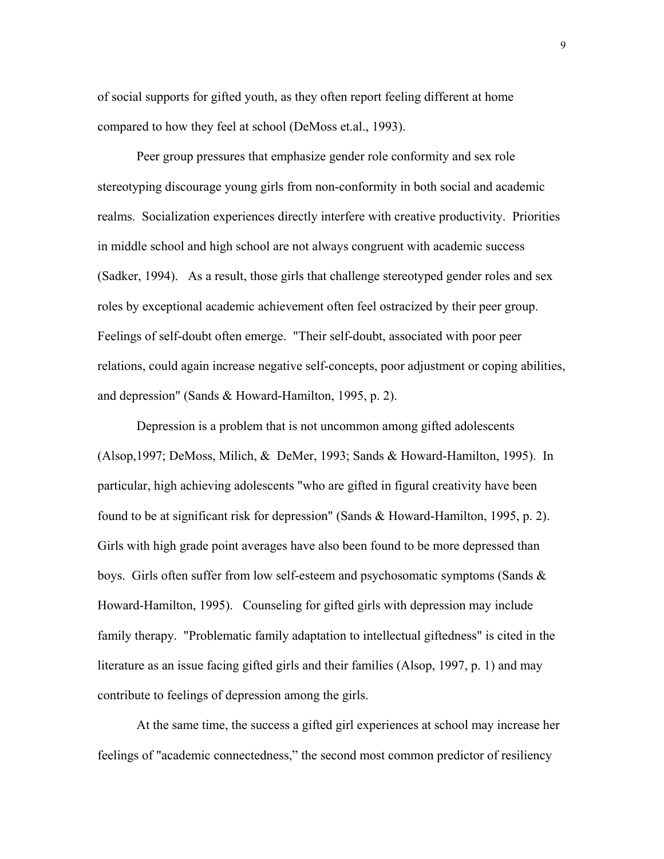of social supports for gifted youth, as they often report feeling different at home compared to how they feel at school (DeMoss et.al., 1993).

Peer group pressures that emphasize gender role conformity and sex role stereotyping discourage young girls from non-conformity in both social and academic realms. Socialization experiences directly interfere with creative productivity. Priorities in middle school and high school are not always congruent with academic success (Sadker, 1994). As a result, those girls that challenge stereotyped gender roles and sex roles by exceptional academic achievement often feel ostracized by their peer group. Feelings of self-doubt often emerge. "Their self-doubt, associated with poor peer relations, could again increase negative self-concepts, poor adjustment or coping abilities, and depression" (Sands & Howard-Hamilton, 1995, p. 2).

Depression is a problem that is not uncommon among gifted adolescents (Alsop,1997; DeMoss, Milich, & DeMer, 1993; Sands & Howard-Hamilton, 1995). In particular, high achieving adolescents "who are gifted in figural creativity have been found to be at significant risk for depression" (Sands & Howard-Hamilton, 1995, p. 2). Girls with high grade point averages have also been found to be more depressed than boys. Girls often suffer from low self-esteem and psychosomatic symptoms (Sands  $\&$ Howard-Hamilton, 1995). Counseling for gifted girls with depression may include family therapy. "Problematic family adaptation to intellectual giftedness" is cited in the literature as an issue facing gifted girls and their families (Alsop, 1997, p. 1) and may contribute to feelings of depression among the girls.

At the same time, the success a gifted girl experiences at school may increase her feelings of "academic connectedness," the second most common predictor of resiliency

9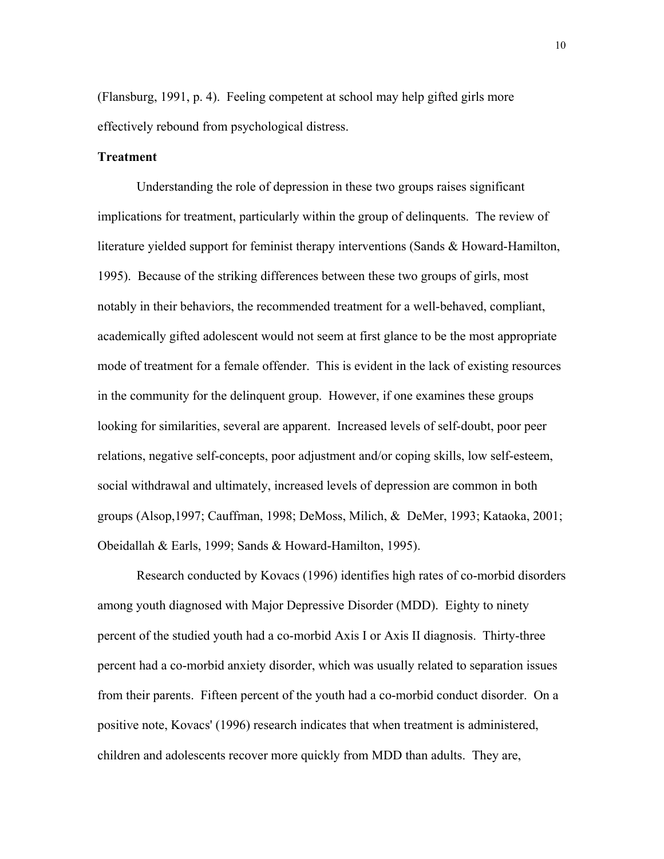(Flansburg, 1991, p. 4). Feeling competent at school may help gifted girls more effectively rebound from psychological distress.

#### **Treatment**

Understanding the role of depression in these two groups raises significant implications for treatment, particularly within the group of delinquents. The review of literature yielded support for feminist therapy interventions (Sands & Howard-Hamilton, 1995). Because of the striking differences between these two groups of girls, most notably in their behaviors, the recommended treatment for a well-behaved, compliant, academically gifted adolescent would not seem at first glance to be the most appropriate mode of treatment for a female offender. This is evident in the lack of existing resources in the community for the delinquent group. However, if one examines these groups looking for similarities, several are apparent. Increased levels of self-doubt, poor peer relations, negative self-concepts, poor adjustment and/or coping skills, low self-esteem, social withdrawal and ultimately, increased levels of depression are common in both groups (Alsop,1997; Cauffman, 1998; DeMoss, Milich, & DeMer, 1993; Kataoka, 2001; Obeidallah & Earls, 1999; Sands & Howard-Hamilton, 1995).

Research conducted by Kovacs (1996) identifies high rates of co-morbid disorders among youth diagnosed with Major Depressive Disorder (MDD). Eighty to ninety percent of the studied youth had a co-morbid Axis I or Axis II diagnosis. Thirty-three percent had a co-morbid anxiety disorder, which was usually related to separation issues from their parents. Fifteen percent of the youth had a co-morbid conduct disorder. On a positive note, Kovacs' (1996) research indicates that when treatment is administered, children and adolescents recover more quickly from MDD than adults. They are,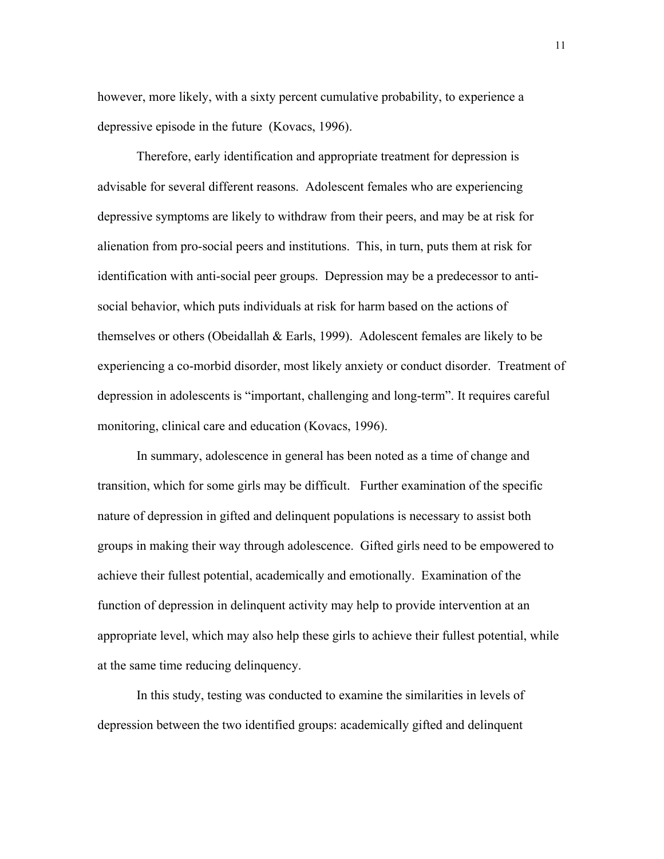however, more likely, with a sixty percent cumulative probability, to experience a depressive episode in the future (Kovacs, 1996).

Therefore, early identification and appropriate treatment for depression is advisable for several different reasons. Adolescent females who are experiencing depressive symptoms are likely to withdraw from their peers, and may be at risk for alienation from pro-social peers and institutions. This, in turn, puts them at risk for identification with anti-social peer groups. Depression may be a predecessor to antisocial behavior, which puts individuals at risk for harm based on the actions of themselves or others (Obeidallah & Earls, 1999). Adolescent females are likely to be experiencing a co-morbid disorder, most likely anxiety or conduct disorder. Treatment of depression in adolescents is "important, challenging and long-term". It requires careful monitoring, clinical care and education (Kovacs, 1996).

In summary, adolescence in general has been noted as a time of change and transition, which for some girls may be difficult. Further examination of the specific nature of depression in gifted and delinquent populations is necessary to assist both groups in making their way through adolescence. Gifted girls need to be empowered to achieve their fullest potential, academically and emotionally. Examination of the function of depression in delinquent activity may help to provide intervention at an appropriate level, which may also help these girls to achieve their fullest potential, while at the same time reducing delinquency.

In this study, testing was conducted to examine the similarities in levels of depression between the two identified groups: academically gifted and delinquent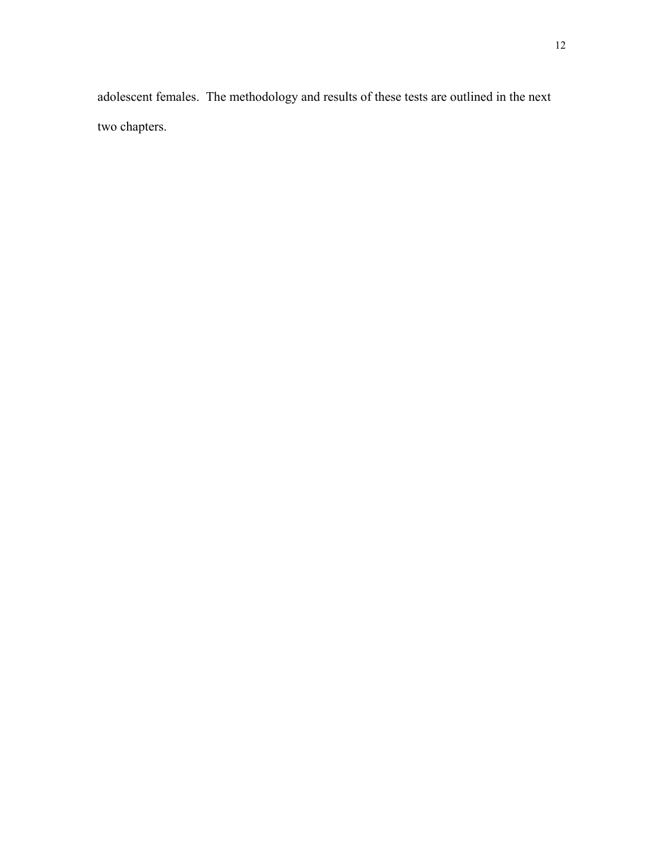adolescent females. The methodology and results of these tests are outlined in the next two chapters.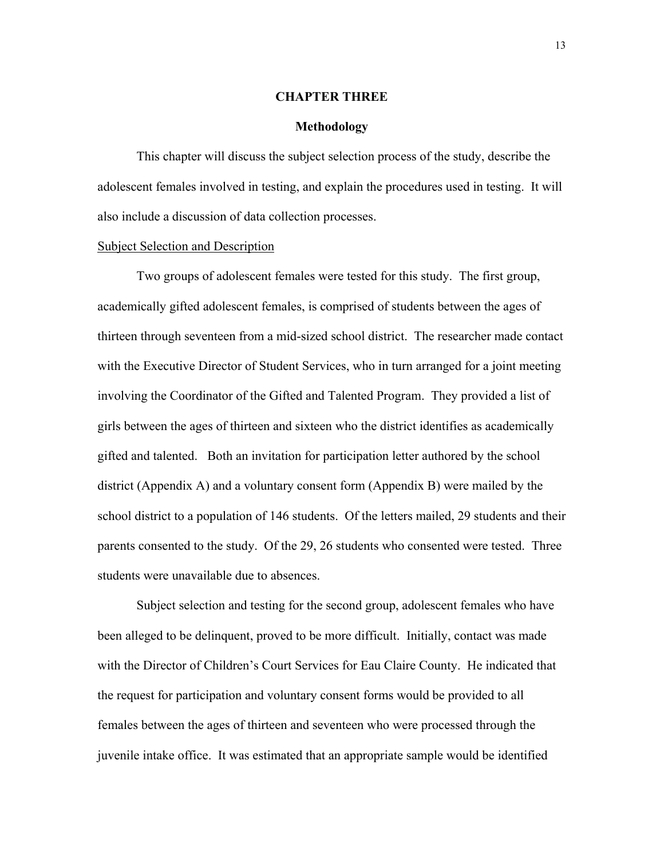#### **CHAPTER THREE**

#### **Methodology**

This chapter will discuss the subject selection process of the study, describe the adolescent females involved in testing, and explain the procedures used in testing. It will also include a discussion of data collection processes.

#### Subject Selection and Description

Two groups of adolescent females were tested for this study. The first group, academically gifted adolescent females, is comprised of students between the ages of thirteen through seventeen from a mid-sized school district. The researcher made contact with the Executive Director of Student Services, who in turn arranged for a joint meeting involving the Coordinator of the Gifted and Talented Program. They provided a list of girls between the ages of thirteen and sixteen who the district identifies as academically gifted and talented. Both an invitation for participation letter authored by the school district (Appendix A) and a voluntary consent form (Appendix B) were mailed by the school district to a population of 146 students. Of the letters mailed, 29 students and their parents consented to the study. Of the 29, 26 students who consented were tested. Three students were unavailable due to absences.

Subject selection and testing for the second group, adolescent females who have been alleged to be delinquent, proved to be more difficult. Initially, contact was made with the Director of Children's Court Services for Eau Claire County. He indicated that the request for participation and voluntary consent forms would be provided to all females between the ages of thirteen and seventeen who were processed through the juvenile intake office. It was estimated that an appropriate sample would be identified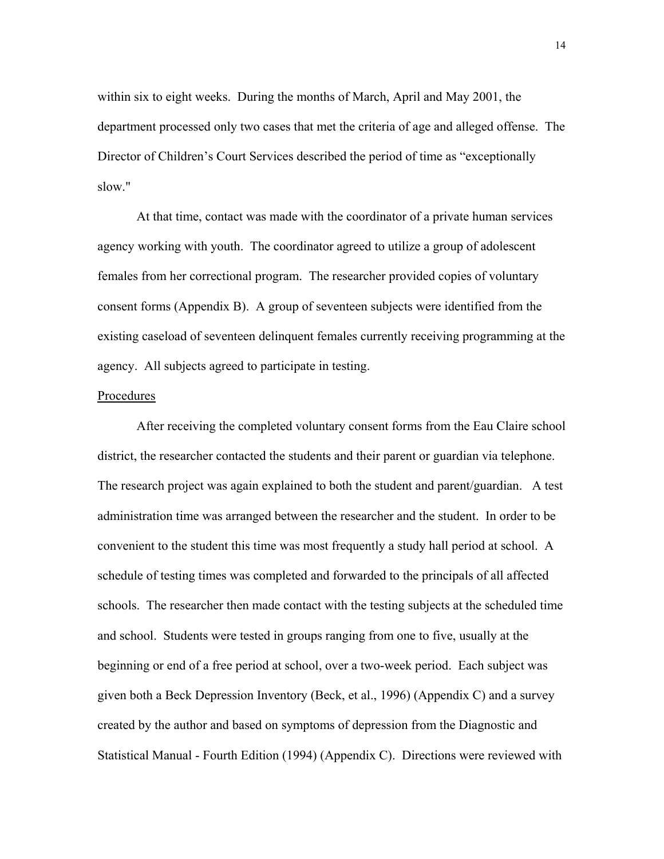within six to eight weeks. During the months of March, April and May 2001, the department processed only two cases that met the criteria of age and alleged offense. The Director of Children's Court Services described the period of time as "exceptionally slow."

At that time, contact was made with the coordinator of a private human services agency working with youth. The coordinator agreed to utilize a group of adolescent females from her correctional program. The researcher provided copies of voluntary consent forms (Appendix B). A group of seventeen subjects were identified from the existing caseload of seventeen delinquent females currently receiving programming at the agency. All subjects agreed to participate in testing.

## Procedures

After receiving the completed voluntary consent forms from the Eau Claire school district, the researcher contacted the students and their parent or guardian via telephone. The research project was again explained to both the student and parent/guardian. A test administration time was arranged between the researcher and the student. In order to be convenient to the student this time was most frequently a study hall period at school. A schedule of testing times was completed and forwarded to the principals of all affected schools. The researcher then made contact with the testing subjects at the scheduled time and school. Students were tested in groups ranging from one to five, usually at the beginning or end of a free period at school, over a two-week period. Each subject was given both a Beck Depression Inventory (Beck, et al., 1996) (Appendix C) and a survey created by the author and based on symptoms of depression from the Diagnostic and Statistical Manual - Fourth Edition (1994) (Appendix C). Directions were reviewed with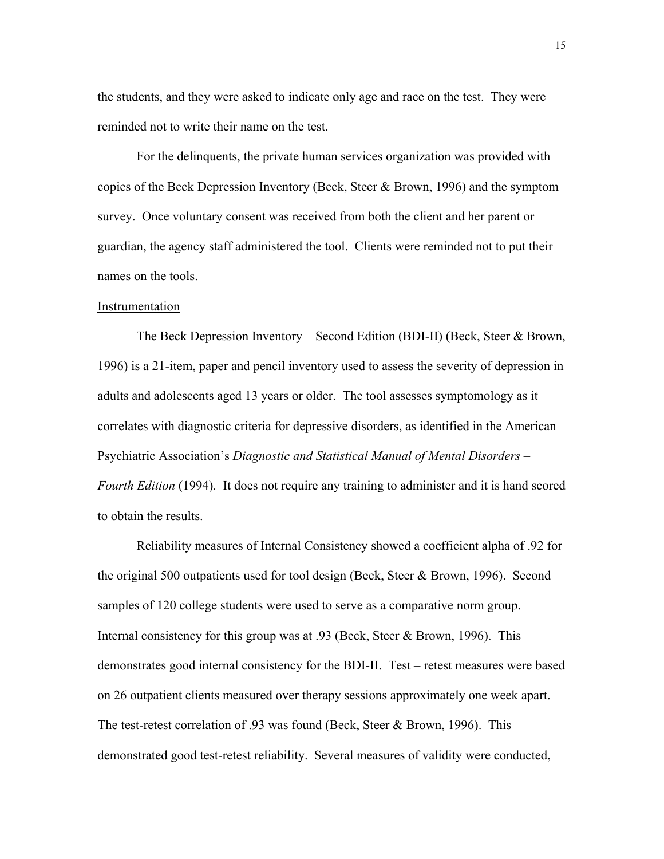the students, and they were asked to indicate only age and race on the test. They were reminded not to write their name on the test.

For the delinquents, the private human services organization was provided with copies of the Beck Depression Inventory (Beck, Steer & Brown, 1996) and the symptom survey. Once voluntary consent was received from both the client and her parent or guardian, the agency staff administered the tool. Clients were reminded not to put their names on the tools.

## Instrumentation

The Beck Depression Inventory – Second Edition (BDI-II) (Beck, Steer & Brown, 1996) is a 21-item, paper and pencil inventory used to assess the severity of depression in adults and adolescents aged 13 years or older. The tool assesses symptomology as it correlates with diagnostic criteria for depressive disorders, as identified in the American Psychiatric Association's *Diagnostic and Statistical Manual of Mental Disorders – Fourth Edition* (1994)*.* It does not require any training to administer and it is hand scored to obtain the results.

 Reliability measures of Internal Consistency showed a coefficient alpha of .92 for the original 500 outpatients used for tool design (Beck, Steer & Brown, 1996). Second samples of 120 college students were used to serve as a comparative norm group. Internal consistency for this group was at .93 (Beck, Steer  $\&$  Brown, 1996). This demonstrates good internal consistency for the BDI-II. Test – retest measures were based on 26 outpatient clients measured over therapy sessions approximately one week apart. The test-retest correlation of .93 was found (Beck, Steer & Brown, 1996). This demonstrated good test-retest reliability. Several measures of validity were conducted,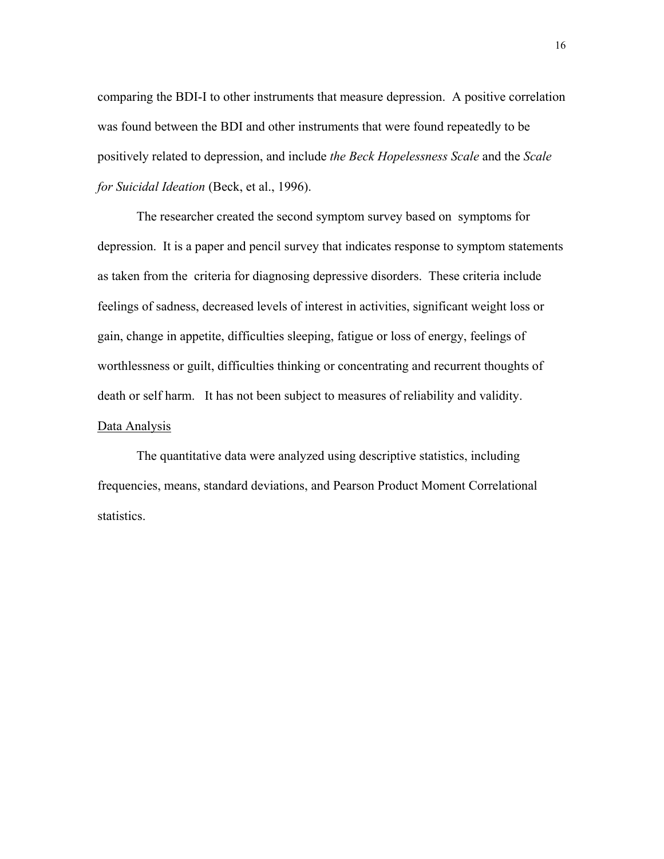comparing the BDI-I to other instruments that measure depression. A positive correlation was found between the BDI and other instruments that were found repeatedly to be positively related to depression, and include *the Beck Hopelessness Scale* and the *Scale for Suicidal Ideation* (Beck, et al., 1996).

The researcher created the second symptom survey based on symptoms for depression. It is a paper and pencil survey that indicates response to symptom statements as taken from the criteria for diagnosing depressive disorders. These criteria include feelings of sadness, decreased levels of interest in activities, significant weight loss or gain, change in appetite, difficulties sleeping, fatigue or loss of energy, feelings of worthlessness or guilt, difficulties thinking or concentrating and recurrent thoughts of death or self harm. It has not been subject to measures of reliability and validity. Data Analysis

The quantitative data were analyzed using descriptive statistics, including frequencies, means, standard deviations, and Pearson Product Moment Correlational statistics.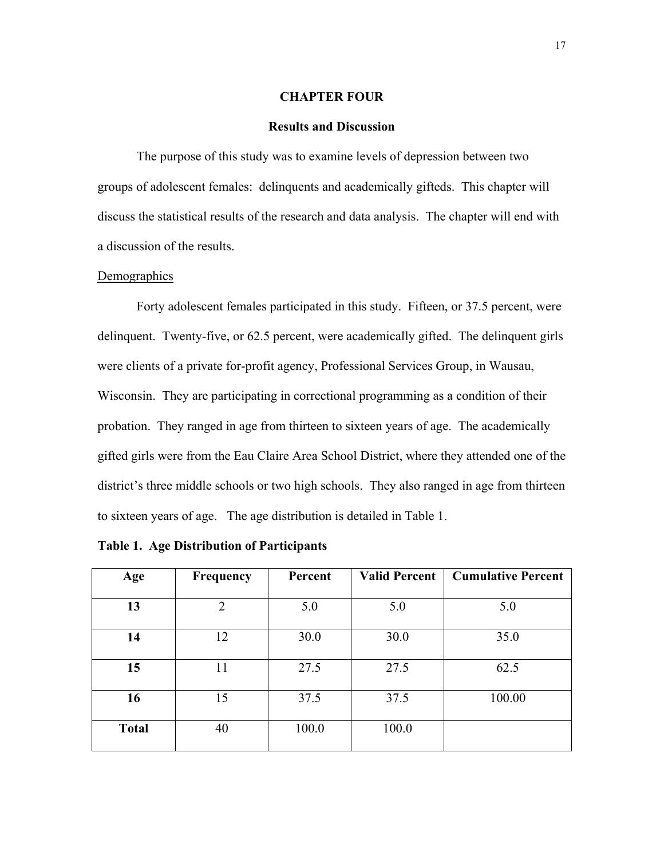## **CHAPTER FOUR**

### **Results and Discussion**

The purpose of this study was to examine levels of depression between two groups of adolescent females: delinquents and academically gifteds. This chapter will discuss the statistical results of the research and data analysis. The chapter will end with a discussion of the results.

#### **Demographics**

Forty adolescent females participated in this study. Fifteen, or 37.5 percent, were delinquent. Twenty-five, or 62.5 percent, were academically gifted. The delinquent girls were clients of a private for-profit agency, Professional Services Group, in Wausau, Wisconsin. They are participating in correctional programming as a condition of their probation. They ranged in age from thirteen to sixteen years of age. The academically gifted girls were from the Eau Claire Area School District, where they attended one of the district's three middle schools or two high schools. They also ranged in age from thirteen to sixteen years of age. The age distribution is detailed in Table 1.

| Age          | Frequency      | Percent | <b>Valid Percent</b> | <b>Cumulative Percent</b> |
|--------------|----------------|---------|----------------------|---------------------------|
|              |                |         |                      |                           |
| 13           | $\overline{2}$ | 5.0     | 5.0                  | 5.0                       |
|              |                |         |                      |                           |
| 14           | 12             | 30.0    | 30.0                 | 35.0                      |
|              |                |         |                      |                           |
| 15           | 11             | 27.5    | 27.5                 | 62.5                      |
|              |                |         |                      |                           |
| 16           | 15             | 37.5    | 37.5                 | 100.00                    |
|              |                |         |                      |                           |
| <b>Total</b> | 40             | 100.0   | 100.0                |                           |
|              |                |         |                      |                           |

**Table 1. Age Distribution of Participants**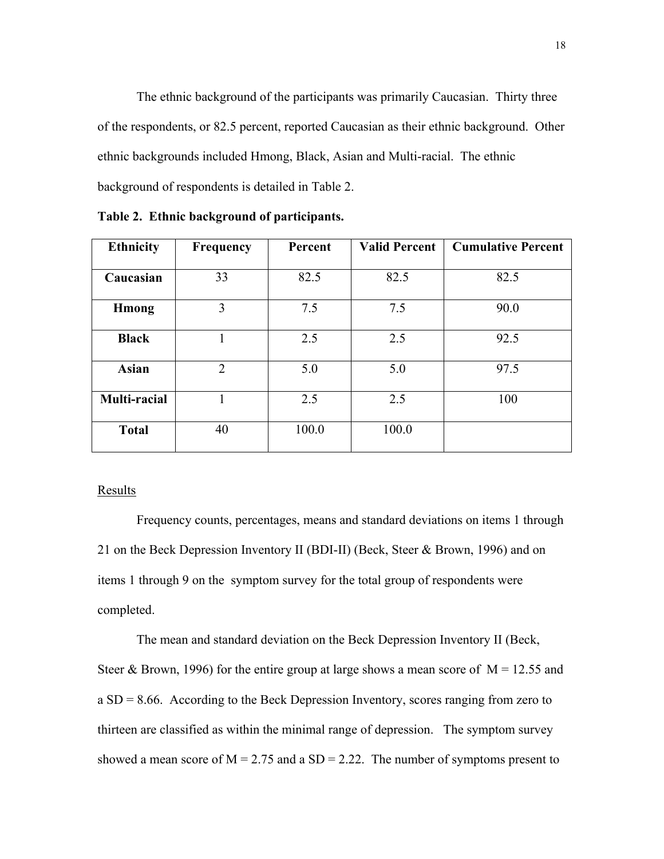The ethnic background of the participants was primarily Caucasian. Thirty three of the respondents, or 82.5 percent, reported Caucasian as their ethnic background. Other ethnic backgrounds included Hmong, Black, Asian and Multi-racial. The ethnic background of respondents is detailed in Table 2.

| <b>Ethnicity</b> | <b>Frequency</b> | Percent | <b>Valid Percent</b> | <b>Cumulative Percent</b> |
|------------------|------------------|---------|----------------------|---------------------------|
| Caucasian        | 33               | 82.5    | 82.5                 | 82.5                      |
| <b>H</b> mong    | 3                | 7.5     | 7.5                  | 90.0                      |
| <b>Black</b>     |                  | 2.5     | 2.5                  | 92.5                      |
| <b>Asian</b>     | $\overline{2}$   | 5.0     | 5.0                  | 97.5                      |
| Multi-racial     |                  | 2.5     | 2.5                  | 100                       |
| <b>Total</b>     | 40               | 100.0   | 100.0                |                           |

**Table 2. Ethnic background of participants.** 

## **Results**

Frequency counts, percentages, means and standard deviations on items 1 through 21 on the Beck Depression Inventory II (BDI-II) (Beck, Steer & Brown, 1996) and on items 1 through 9 on the symptom survey for the total group of respondents were completed.

The mean and standard deviation on the Beck Depression Inventory II (Beck, Steer & Brown, 1996) for the entire group at large shows a mean score of  $M = 12.55$  and a SD = 8.66. According to the Beck Depression Inventory, scores ranging from zero to thirteen are classified as within the minimal range of depression. The symptom survey showed a mean score of  $M = 2.75$  and a  $SD = 2.22$ . The number of symptoms present to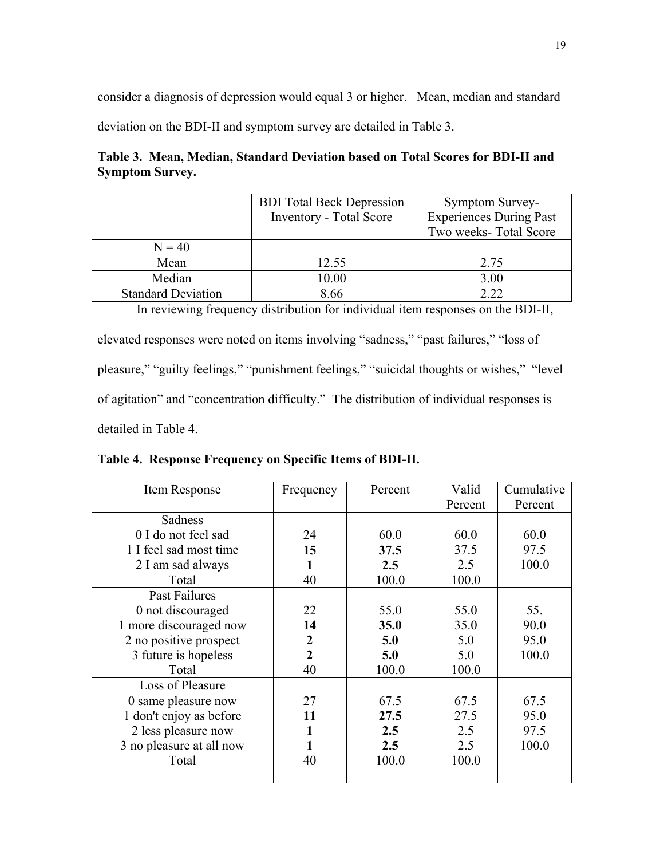consider a diagnosis of depression would equal 3 or higher. Mean, median and standard

deviation on the BDI-II and symptom survey are detailed in Table 3.

# **Table 3. Mean, Median, Standard Deviation based on Total Scores for BDI-II and Symptom Survey.**

|                           | <b>BDI</b> Total Beck Depression | Symptom Survey-                |
|---------------------------|----------------------------------|--------------------------------|
|                           | <b>Inventory - Total Score</b>   | <b>Experiences During Past</b> |
|                           |                                  | Two weeks-Total Score          |
| $N = 40$                  |                                  |                                |
| Mean                      | 12.55                            | 2.75                           |
| Median                    | 10.00                            | 3.00                           |
| <b>Standard Deviation</b> | 8.66                             | 2.22                           |

In reviewing frequency distribution for individual item responses on the BDI-II, elevated responses were noted on items involving "sadness," "past failures," "loss of pleasure," "guilty feelings," "punishment feelings," "suicidal thoughts or wishes," "level of agitation" and "concentration difficulty." The distribution of individual responses is detailed in Table 4.

**Table 4. Response Frequency on Specific Items of BDI-II.** 

| Item Response            | Frequency      | Percent | Valid   | Cumulative |
|--------------------------|----------------|---------|---------|------------|
|                          |                |         | Percent | Percent    |
| Sadness                  |                |         |         |            |
| 0 I do not feel sad      | 24             | 60.0    | 60.0    | 60.0       |
| 1 I feel sad most time   | 15             | 37.5    | 37.5    | 97.5       |
| 2 I am sad always        | 1              | 2.5     | 2.5     | 100.0      |
| Total                    | 40             | 100.0   | 100.0   |            |
| Past Failures            |                |         |         |            |
| 0 not discouraged        | 22             | 55.0    | 55.0    | 55.        |
| 1 more discouraged now   | 14             | 35.0    | 35.0    | 90.0       |
| 2 no positive prospect   | 2              | 5.0     | 5.0     | 95.0       |
| 3 future is hopeless     | $\overline{2}$ | 5.0     | 5.0     | 100.0      |
| Total                    | 40             | 100.0   | 100.0   |            |
| Loss of Pleasure         |                |         |         |            |
| 0 same pleasure now      | 27             | 67.5    | 67.5    | 67.5       |
| 1 don't enjoy as before  | 11             | 27.5    | 27.5    | 95.0       |
| 2 less pleasure now      | 1              | 2.5     | 2.5     | 97.5       |
| 3 no pleasure at all now | 1              | 2.5     | 2.5     | 100.0      |
| Total                    | 40             | 100.0   | 100.0   |            |
|                          |                |         |         |            |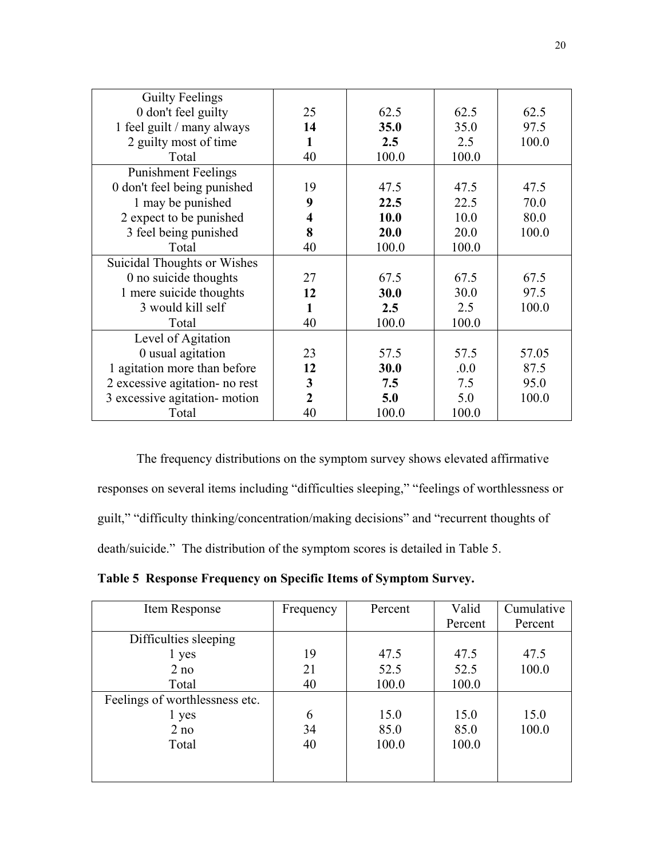| <b>Guilty Feelings</b>         |                         |             |       |       |
|--------------------------------|-------------------------|-------------|-------|-------|
| 0 don't feel guilty            | 25                      | 62.5        | 62.5  | 62.5  |
| 1 feel guilt / many always     | 14                      | 35.0        | 35.0  | 97.5  |
| 2 guilty most of time          | 1                       | 2.5         | 2.5   | 100.0 |
| Total                          | 40                      | 100.0       | 100.0 |       |
| <b>Punishment Feelings</b>     |                         |             |       |       |
| 0 don't feel being punished    | 19                      | 47.5        | 47.5  | 47.5  |
| 1 may be punished              | 9                       | 22.5        | 22.5  | 70.0  |
| 2 expect to be punished        | $\overline{\mathbf{4}}$ | <b>10.0</b> | 10.0  | 80.0  |
| 3 feel being punished          | 8                       | 20.0        | 20.0  | 100.0 |
| Total                          | 40                      | 100.0       | 100.0 |       |
| Suicidal Thoughts or Wishes    |                         |             |       |       |
| 0 no suicide thoughts          | 27                      | 67.5        | 67.5  | 67.5  |
| 1 mere suicide thoughts        | 12                      | 30.0        | 30.0  | 97.5  |
| 3 would kill self              | $\mathbf{1}$            | 2.5         | 2.5   | 100.0 |
| Total                          | 40                      | 100.0       | 100.0 |       |
| Level of Agitation             |                         |             |       |       |
| 0 usual agitation              | 23                      | 57.5        | 57.5  | 57.05 |
| 1 agitation more than before   | 12                      | 30.0        | .0.0  | 87.5  |
| 2 excessive agitation- no rest | 3                       | 7.5         | 7.5   | 95.0  |
| 3 excessive agitation- motion  | $\overline{2}$          | 5.0         | 5.0   | 100.0 |
| Total                          | 40                      | 100.0       | 100.0 |       |

The frequency distributions on the symptom survey shows elevated affirmative responses on several items including "difficulties sleeping," "feelings of worthlessness or guilt," "difficulty thinking/concentration/making decisions" and "recurrent thoughts of death/suicide." The distribution of the symptom scores is detailed in Table 5.

**Table 5 Response Frequency on Specific Items of Symptom Survey.** 

| Item Response                  | Frequency | Percent | Valid   | Cumulative |
|--------------------------------|-----------|---------|---------|------------|
|                                |           |         | Percent | Percent    |
| Difficulties sleeping          |           |         |         |            |
| 1 yes                          | 19        | 47.5    | 47.5    | 47.5       |
| 2 no                           | 21        | 52.5    | 52.5    | 100.0      |
| Total                          | 40        | 100.0   | 100.0   |            |
| Feelings of worthlessness etc. |           |         |         |            |
| 1 yes                          | 6         | 15.0    | 15.0    | 15.0       |
| 2 no                           | 34        | 85.0    | 85.0    | 100.0      |
| Total                          | 40        | 100.0   | 100.0   |            |
|                                |           |         |         |            |
|                                |           |         |         |            |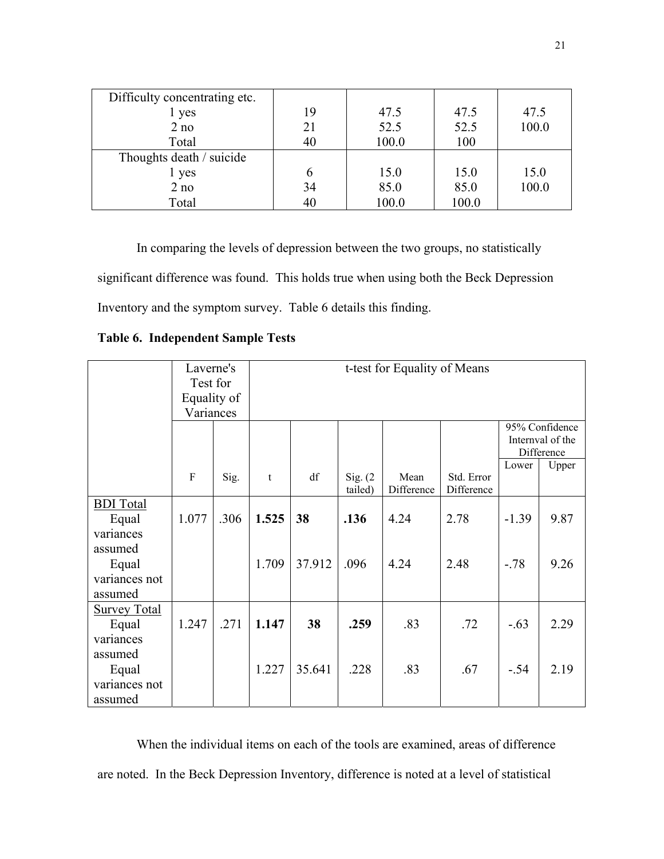| Difficulty concentrating etc. |    |       |       |       |
|-------------------------------|----|-------|-------|-------|
| 1 yes                         | 19 | 47.5  | 47.5  | 47.5  |
| 2 no                          | 21 | 52.5  | 52.5  | 100.0 |
| Total                         | 40 | 100.0 | 100   |       |
| Thoughts death / suicide      |    |       |       |       |
| 1 yes                         | 6  | 15.0  | 15.0  | 15.0  |
| 2 no                          | 34 | 85.0  | 85.0  | 100.0 |
| Total                         | 40 | 100.0 | 100.0 |       |

In comparing the levels of depression between the two groups, no statistically significant difference was found. This holds true when using both the Beck Depression Inventory and the symptom survey. Table 6 details this finding.

**Table 6. Independent Sample Tests** 

|                     | Laverne's   |      | t-test for Equality of Means |        |          |            |            |         |                  |
|---------------------|-------------|------|------------------------------|--------|----------|------------|------------|---------|------------------|
|                     | Test for    |      |                              |        |          |            |            |         |                  |
|                     | Equality of |      |                              |        |          |            |            |         |                  |
|                     | Variances   |      |                              |        |          |            |            |         |                  |
|                     |             |      |                              |        |          |            |            |         | 95% Confidence   |
|                     |             |      |                              |        |          |            |            |         | Internval of the |
|                     |             |      |                              |        |          |            |            |         | Difference       |
|                     | F           | Sig. | t                            | df     | Sig. (2) | Mean       | Std. Error | Lower   | Upper            |
|                     |             |      |                              |        | tailed)  | Difference | Difference |         |                  |
| <b>BDI</b> Total    |             |      |                              |        |          |            |            |         |                  |
| Equal               | 1.077       | .306 | 1.525                        | 38     | .136     | 4.24       | 2.78       | $-1.39$ | 9.87             |
| variances           |             |      |                              |        |          |            |            |         |                  |
| assumed             |             |      |                              |        |          |            |            |         |                  |
| Equal               |             |      | 1.709                        | 37.912 | .096     | 4.24       | 2.48       | $-.78$  | 9.26             |
| variances not       |             |      |                              |        |          |            |            |         |                  |
| assumed             |             |      |                              |        |          |            |            |         |                  |
| <b>Survey Total</b> |             |      |                              |        |          |            |            |         |                  |
| Equal               | 1.247       | .271 | 1.147                        | 38     | .259     | .83        | .72        | $-.63$  | 2.29             |
| variances           |             |      |                              |        |          |            |            |         |                  |
| assumed             |             |      |                              |        |          |            |            |         |                  |
| Equal               |             |      | 1.227                        | 35.641 | .228     | .83        | .67        | $-.54$  | 2.19             |
| variances not       |             |      |                              |        |          |            |            |         |                  |
| assumed             |             |      |                              |        |          |            |            |         |                  |

When the individual items on each of the tools are examined, areas of difference are noted. In the Beck Depression Inventory, difference is noted at a level of statistical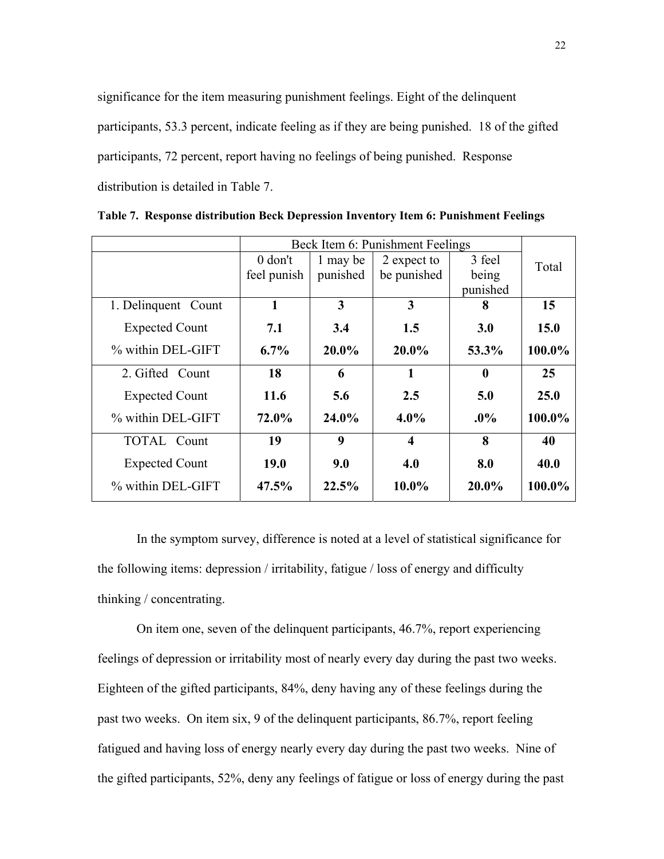significance for the item measuring punishment feelings. Eight of the delinquent participants, 53.3 percent, indicate feeling as if they are being punished. 18 of the gifted participants, 72 percent, report having no feelings of being punished. Response distribution is detailed in Table 7.

|                       |             | Beck Item 6: Punishment Feelings |                         |                  |        |  |
|-----------------------|-------------|----------------------------------|-------------------------|------------------|--------|--|
|                       | $0$ don't   | 1 may be                         | 2 expect to             | 3 feel           | Total  |  |
|                       | feel punish | punished                         | be punished             | being            |        |  |
|                       |             |                                  |                         | punished         |        |  |
| 1. Delinquent Count   | 1           | 3                                | 3                       | 8                | 15     |  |
| <b>Expected Count</b> | 7.1         | 3.4                              | 1.5                     | <b>3.0</b>       | 15.0   |  |
| % within DEL-GIFT     | $6.7\%$     | $20.0\%$                         | $20.0\%$                | 53.3%            | 100.0% |  |
| 2. Gifted Count       | 18          | 6                                | 1                       | $\boldsymbol{0}$ | 25     |  |
| <b>Expected Count</b> | 11.6        | 5.6                              | 2.5                     | 5.0              | 25.0   |  |
| % within DEL-GIFT     | 72.0%       | 24.0%                            | $4.0\%$                 | $.0\%$           | 100.0% |  |
| <b>TOTAL</b> Count    | 19          | 9                                | $\overline{\mathbf{4}}$ | 8                | 40     |  |
| <b>Expected Count</b> | 19.0        | 9.0                              | 4.0                     | 8.0              | 40.0   |  |
| % within DEL-GIFT     | 47.5%       | 22.5%                            | $10.0\%$                | 20.0%            | 100.0% |  |

**Table 7. Response distribution Beck Depression Inventory Item 6: Punishment Feelings** 

In the symptom survey, difference is noted at a level of statistical significance for the following items: depression / irritability, fatigue / loss of energy and difficulty thinking / concentrating.

On item one, seven of the delinquent participants, 46.7%, report experiencing feelings of depression or irritability most of nearly every day during the past two weeks. Eighteen of the gifted participants, 84%, deny having any of these feelings during the past two weeks. On item six, 9 of the delinquent participants, 86.7%, report feeling fatigued and having loss of energy nearly every day during the past two weeks. Nine of the gifted participants, 52%, deny any feelings of fatigue or loss of energy during the past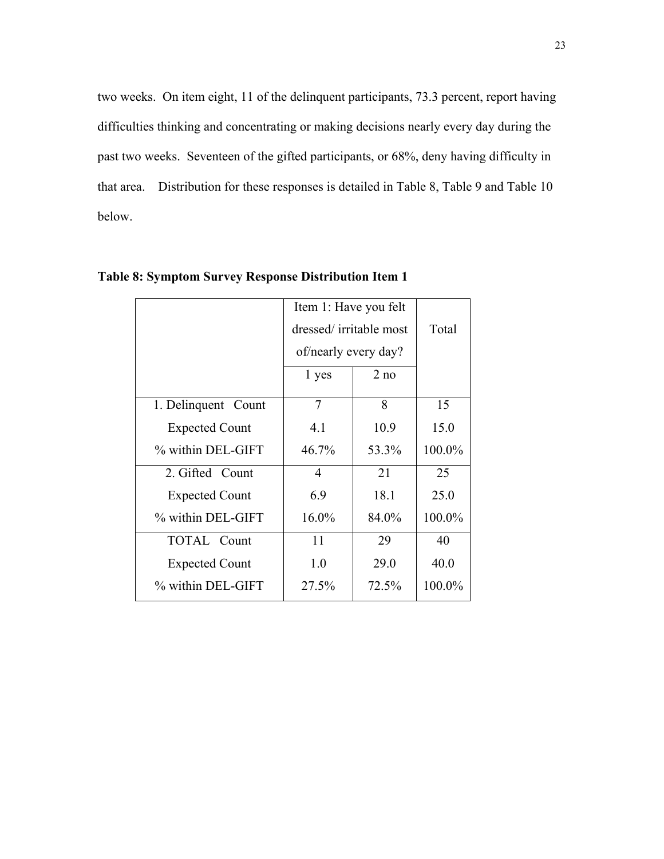two weeks. On item eight, 11 of the delinquent participants, 73.3 percent, report having difficulties thinking and concentrating or making decisions nearly every day during the past two weeks. Seventeen of the gifted participants, or 68%, deny having difficulty in that area. Distribution for these responses is detailed in Table 8, Table 9 and Table 10 below.

|                       | Item 1: Have you felt  |       |        |  |  |  |
|-----------------------|------------------------|-------|--------|--|--|--|
|                       | dressed/irritable most |       | Total  |  |  |  |
|                       | of/nearly every day?   |       |        |  |  |  |
|                       | 1 yes                  | 2 no  |        |  |  |  |
| 1. Delinquent Count   | $\overline{7}$         | 8     | 15     |  |  |  |
| <b>Expected Count</b> | 4.1                    | 10.9  | 15.0   |  |  |  |
| % within DEL-GIFT     | 46.7%                  | 53.3% | 100.0% |  |  |  |
| 2. Gifted Count       | 4                      | 21    | 25     |  |  |  |
| <b>Expected Count</b> | 6.9                    | 18.1  | 25.0   |  |  |  |
| % within DEL-GIFT     | 16.0%                  | 84.0% | 100.0% |  |  |  |
| <b>TOTAL</b> Count    | 11                     | 29    | 40     |  |  |  |
| <b>Expected Count</b> | 1.0                    | 29.0  | 40.0   |  |  |  |
| % within DEL-GIFT     | 27.5%                  | 72.5% | 100.0% |  |  |  |

**Table 8: Symptom Survey Response Distribution Item 1**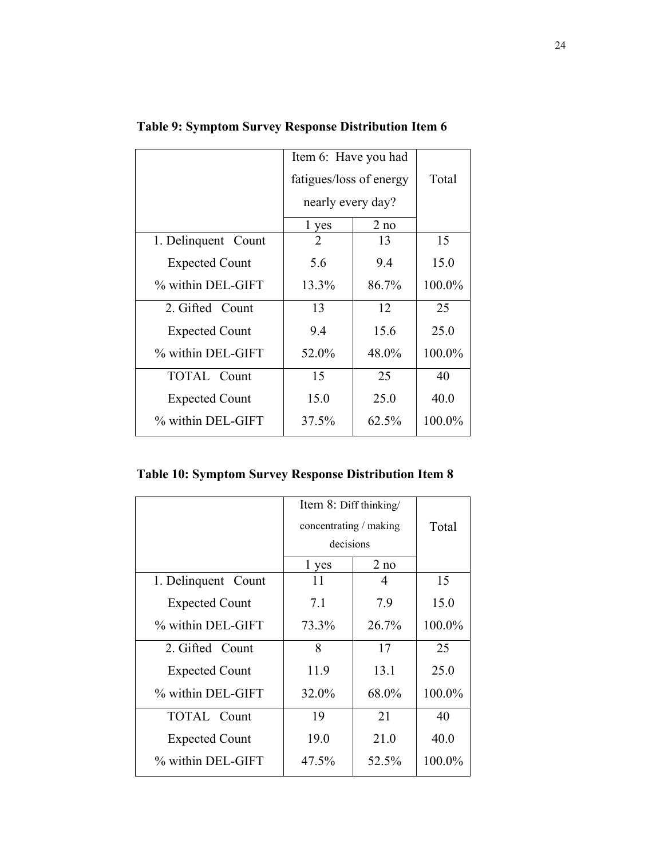|                       | Item 6: Have you had    |       |        |
|-----------------------|-------------------------|-------|--------|
|                       | fatigues/loss of energy |       | Total  |
|                       | nearly every day?       |       |        |
|                       | 1 yes                   | 2 no  |        |
| 1. Delinquent Count   | 2                       | 13    | 15     |
| <b>Expected Count</b> | 5.6                     | 9.4   | 15.0   |
| % within DEL-GIFT     | 13.3%                   | 86.7% | 100.0% |
| 2. Gifted Count       | 13                      | 12    | 25     |
| <b>Expected Count</b> | 9.4                     | 15.6  | 25.0   |
| % within DEL-GIFT     | 52.0%                   | 48.0% | 100.0% |
| <b>TOTAL</b> Count    | 15                      | 25    | 40     |
| <b>Expected Count</b> | 15.0                    | 25.0  | 40.0   |
| % within DEL-GIFT     | 37.5%                   | 62.5% | 100.0% |

**Table 9: Symptom Survey Response Distribution Item 6** 

|  |  | <b>Table 10: Symptom Survey Response Distribution Item 8</b> |  |
|--|--|--------------------------------------------------------------|--|
|  |  |                                                              |  |

|                       | Item 8: Diff thinking/ |       |        |
|-----------------------|------------------------|-------|--------|
|                       | concentrating / making |       | Total  |
|                       | decisions              |       |        |
|                       | 1 yes                  | 2 no  |        |
| 1. Delinquent Count   | 11                     | 4     | 15     |
| <b>Expected Count</b> | 7.1                    | 7.9   | 15.0   |
| % within DEL-GIFT     | 73.3%                  | 26.7% | 100.0% |
| 2. Gifted Count       | 8                      | 17    | 25     |
| <b>Expected Count</b> | 11.9                   | 13.1  | 25.0   |
| % within DEL-GIFT     | 32.0%                  | 68.0% | 100.0% |
| <b>TOTAL Count</b>    | 19                     | 21    | 40     |
| <b>Expected Count</b> | 19.0                   | 21.0  | 40.0   |
| % within DEL-GIFT     | 47.5%                  | 52.5% | 100.0% |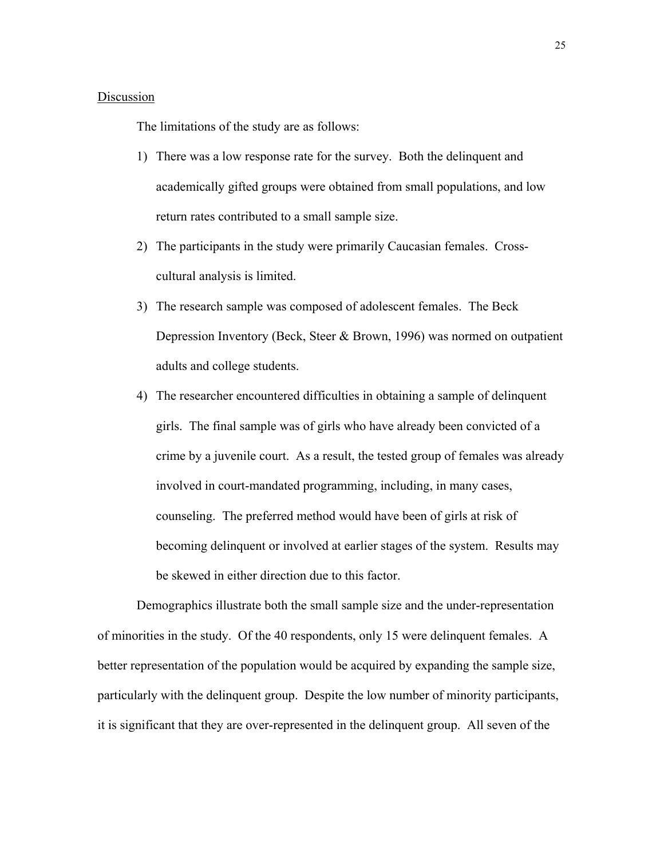### Discussion

The limitations of the study are as follows:

- 1) There was a low response rate for the survey. Both the delinquent and academically gifted groups were obtained from small populations, and low return rates contributed to a small sample size.
- 2) The participants in the study were primarily Caucasian females. Crosscultural analysis is limited.
- 3) The research sample was composed of adolescent females. The Beck Depression Inventory (Beck, Steer & Brown, 1996) was normed on outpatient adults and college students.
- 4) The researcher encountered difficulties in obtaining a sample of delinquent girls. The final sample was of girls who have already been convicted of a crime by a juvenile court. As a result, the tested group of females was already involved in court-mandated programming, including, in many cases, counseling. The preferred method would have been of girls at risk of becoming delinquent or involved at earlier stages of the system. Results may be skewed in either direction due to this factor.

Demographics illustrate both the small sample size and the under-representation of minorities in the study. Of the 40 respondents, only 15 were delinquent females. A better representation of the population would be acquired by expanding the sample size, particularly with the delinquent group. Despite the low number of minority participants, it is significant that they are over-represented in the delinquent group. All seven of the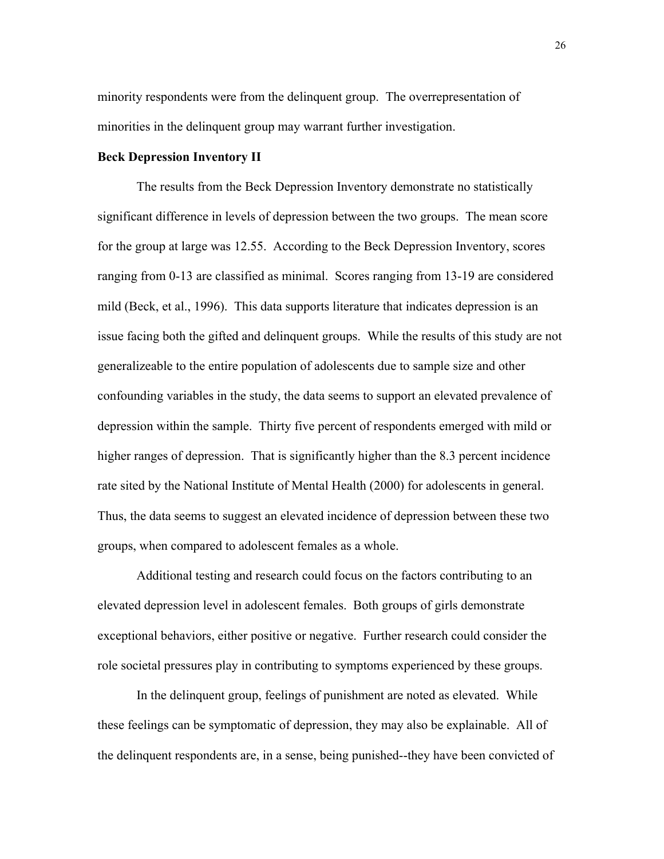minority respondents were from the delinquent group. The overrepresentation of minorities in the delinquent group may warrant further investigation.

#### **Beck Depression Inventory II**

The results from the Beck Depression Inventory demonstrate no statistically significant difference in levels of depression between the two groups. The mean score for the group at large was 12.55. According to the Beck Depression Inventory, scores ranging from 0-13 are classified as minimal. Scores ranging from 13-19 are considered mild (Beck, et al., 1996). This data supports literature that indicates depression is an issue facing both the gifted and delinquent groups. While the results of this study are not generalizeable to the entire population of adolescents due to sample size and other confounding variables in the study, the data seems to support an elevated prevalence of depression within the sample. Thirty five percent of respondents emerged with mild or higher ranges of depression. That is significantly higher than the 8.3 percent incidence rate sited by the National Institute of Mental Health (2000) for adolescents in general. Thus, the data seems to suggest an elevated incidence of depression between these two groups, when compared to adolescent females as a whole.

Additional testing and research could focus on the factors contributing to an elevated depression level in adolescent females. Both groups of girls demonstrate exceptional behaviors, either positive or negative. Further research could consider the role societal pressures play in contributing to symptoms experienced by these groups.

In the delinquent group, feelings of punishment are noted as elevated. While these feelings can be symptomatic of depression, they may also be explainable. All of the delinquent respondents are, in a sense, being punished--they have been convicted of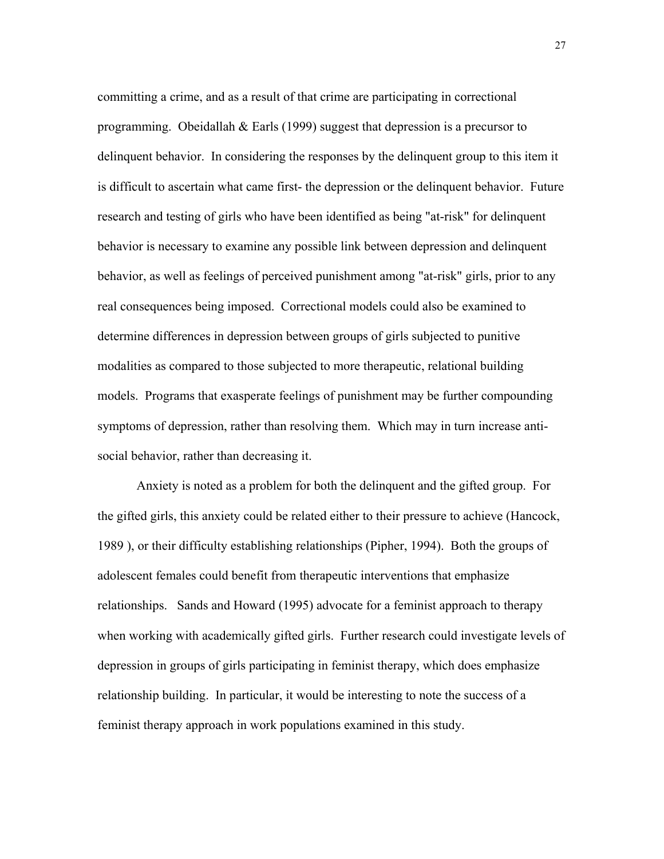committing a crime, and as a result of that crime are participating in correctional programming. Obeidallah  $&$  Earls (1999) suggest that depression is a precursor to delinquent behavior. In considering the responses by the delinquent group to this item it is difficult to ascertain what came first- the depression or the delinquent behavior. Future research and testing of girls who have been identified as being "at-risk" for delinquent behavior is necessary to examine any possible link between depression and delinquent behavior, as well as feelings of perceived punishment among "at-risk" girls, prior to any real consequences being imposed. Correctional models could also be examined to determine differences in depression between groups of girls subjected to punitive modalities as compared to those subjected to more therapeutic, relational building models. Programs that exasperate feelings of punishment may be further compounding symptoms of depression, rather than resolving them. Which may in turn increase antisocial behavior, rather than decreasing it.

Anxiety is noted as a problem for both the delinquent and the gifted group. For the gifted girls, this anxiety could be related either to their pressure to achieve (Hancock, 1989 ), or their difficulty establishing relationships (Pipher, 1994). Both the groups of adolescent females could benefit from therapeutic interventions that emphasize relationships. Sands and Howard (1995) advocate for a feminist approach to therapy when working with academically gifted girls. Further research could investigate levels of depression in groups of girls participating in feminist therapy, which does emphasize relationship building. In particular, it would be interesting to note the success of a feminist therapy approach in work populations examined in this study.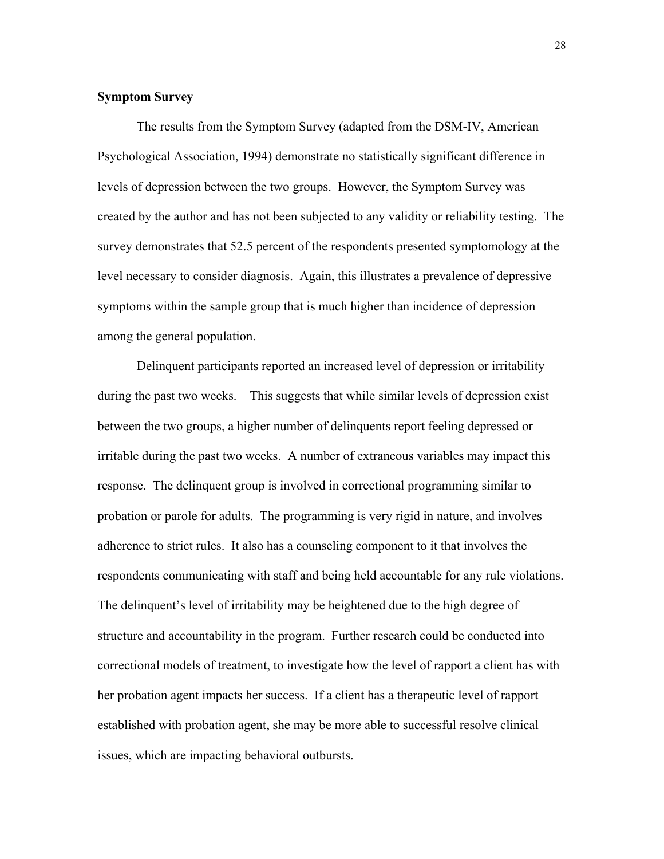## **Symptom Survey**

The results from the Symptom Survey (adapted from the DSM-IV, American Psychological Association, 1994) demonstrate no statistically significant difference in levels of depression between the two groups. However, the Symptom Survey was created by the author and has not been subjected to any validity or reliability testing. The survey demonstrates that 52.5 percent of the respondents presented symptomology at the level necessary to consider diagnosis. Again, this illustrates a prevalence of depressive symptoms within the sample group that is much higher than incidence of depression among the general population.

Delinquent participants reported an increased level of depression or irritability during the past two weeks. This suggests that while similar levels of depression exist between the two groups, a higher number of delinquents report feeling depressed or irritable during the past two weeks. A number of extraneous variables may impact this response. The delinquent group is involved in correctional programming similar to probation or parole for adults. The programming is very rigid in nature, and involves adherence to strict rules. It also has a counseling component to it that involves the respondents communicating with staff and being held accountable for any rule violations. The delinquent's level of irritability may be heightened due to the high degree of structure and accountability in the program. Further research could be conducted into correctional models of treatment, to investigate how the level of rapport a client has with her probation agent impacts her success. If a client has a therapeutic level of rapport established with probation agent, she may be more able to successful resolve clinical issues, which are impacting behavioral outbursts.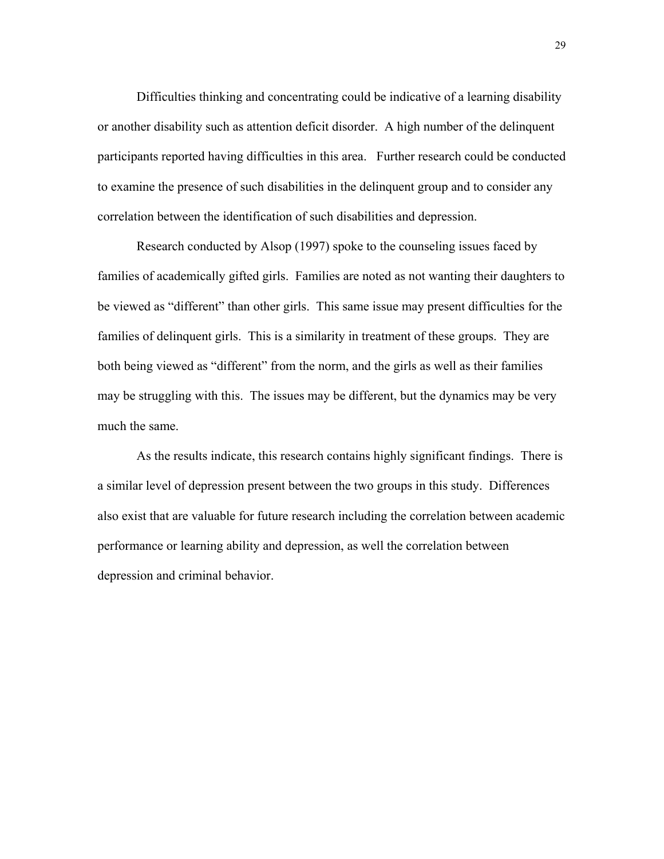Difficulties thinking and concentrating could be indicative of a learning disability or another disability such as attention deficit disorder. A high number of the delinquent participants reported having difficulties in this area. Further research could be conducted to examine the presence of such disabilities in the delinquent group and to consider any correlation between the identification of such disabilities and depression.

Research conducted by Alsop (1997) spoke to the counseling issues faced by families of academically gifted girls. Families are noted as not wanting their daughters to be viewed as "different" than other girls. This same issue may present difficulties for the families of delinquent girls. This is a similarity in treatment of these groups. They are both being viewed as "different" from the norm, and the girls as well as their families may be struggling with this. The issues may be different, but the dynamics may be very much the same.

As the results indicate, this research contains highly significant findings. There is a similar level of depression present between the two groups in this study. Differences also exist that are valuable for future research including the correlation between academic performance or learning ability and depression, as well the correlation between depression and criminal behavior.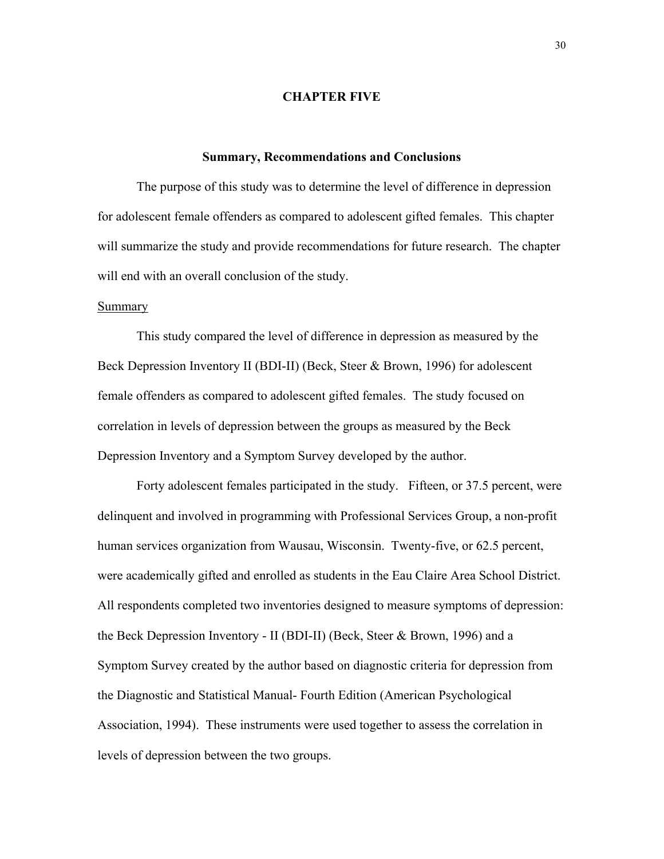## **CHAPTER FIVE**

#### **Summary, Recommendations and Conclusions**

The purpose of this study was to determine the level of difference in depression for adolescent female offenders as compared to adolescent gifted females. This chapter will summarize the study and provide recommendations for future research. The chapter will end with an overall conclusion of the study.

### Summary

This study compared the level of difference in depression as measured by the Beck Depression Inventory II (BDI-II) (Beck, Steer & Brown, 1996) for adolescent female offenders as compared to adolescent gifted females. The study focused on correlation in levels of depression between the groups as measured by the Beck Depression Inventory and a Symptom Survey developed by the author.

Forty adolescent females participated in the study. Fifteen, or 37.5 percent, were delinquent and involved in programming with Professional Services Group, a non-profit human services organization from Wausau, Wisconsin. Twenty-five, or 62.5 percent, were academically gifted and enrolled as students in the Eau Claire Area School District. All respondents completed two inventories designed to measure symptoms of depression: the Beck Depression Inventory - II (BDI-II) (Beck, Steer & Brown, 1996) and a Symptom Survey created by the author based on diagnostic criteria for depression from the Diagnostic and Statistical Manual- Fourth Edition (American Psychological Association, 1994). These instruments were used together to assess the correlation in levels of depression between the two groups.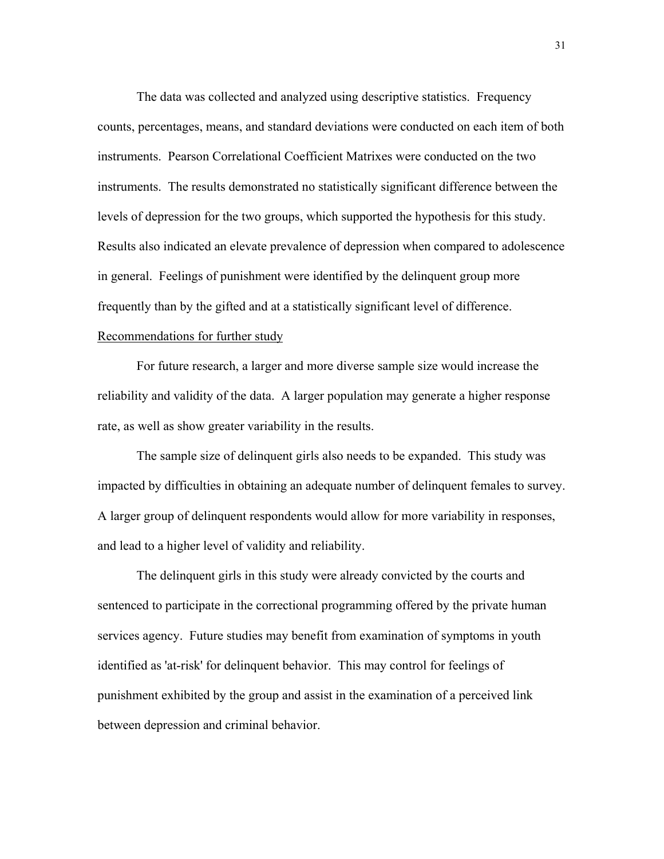The data was collected and analyzed using descriptive statistics. Frequency counts, percentages, means, and standard deviations were conducted on each item of both instruments. Pearson Correlational Coefficient Matrixes were conducted on the two instruments. The results demonstrated no statistically significant difference between the levels of depression for the two groups, which supported the hypothesis for this study. Results also indicated an elevate prevalence of depression when compared to adolescence in general. Feelings of punishment were identified by the delinquent group more frequently than by the gifted and at a statistically significant level of difference. Recommendations for further study

For future research, a larger and more diverse sample size would increase the reliability and validity of the data. A larger population may generate a higher response rate, as well as show greater variability in the results.

The sample size of delinquent girls also needs to be expanded. This study was impacted by difficulties in obtaining an adequate number of delinquent females to survey. A larger group of delinquent respondents would allow for more variability in responses, and lead to a higher level of validity and reliability.

The delinquent girls in this study were already convicted by the courts and sentenced to participate in the correctional programming offered by the private human services agency. Future studies may benefit from examination of symptoms in youth identified as 'at-risk' for delinquent behavior. This may control for feelings of punishment exhibited by the group and assist in the examination of a perceived link between depression and criminal behavior.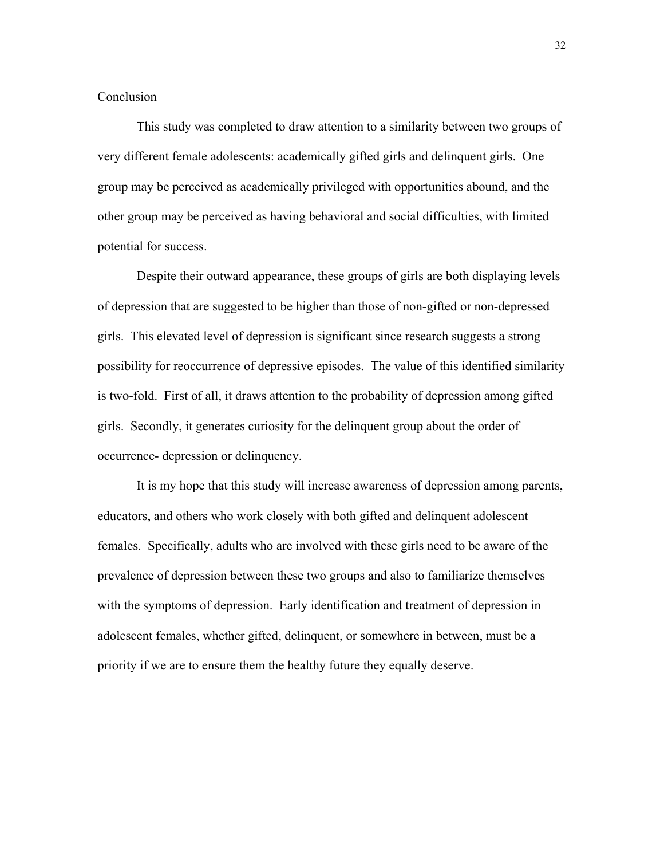#### Conclusion

This study was completed to draw attention to a similarity between two groups of very different female adolescents: academically gifted girls and delinquent girls. One group may be perceived as academically privileged with opportunities abound, and the other group may be perceived as having behavioral and social difficulties, with limited potential for success.

Despite their outward appearance, these groups of girls are both displaying levels of depression that are suggested to be higher than those of non-gifted or non-depressed girls. This elevated level of depression is significant since research suggests a strong possibility for reoccurrence of depressive episodes. The value of this identified similarity is two-fold. First of all, it draws attention to the probability of depression among gifted girls. Secondly, it generates curiosity for the delinquent group about the order of occurrence- depression or delinquency.

It is my hope that this study will increase awareness of depression among parents, educators, and others who work closely with both gifted and delinquent adolescent females. Specifically, adults who are involved with these girls need to be aware of the prevalence of depression between these two groups and also to familiarize themselves with the symptoms of depression. Early identification and treatment of depression in adolescent females, whether gifted, delinquent, or somewhere in between, must be a priority if we are to ensure them the healthy future they equally deserve.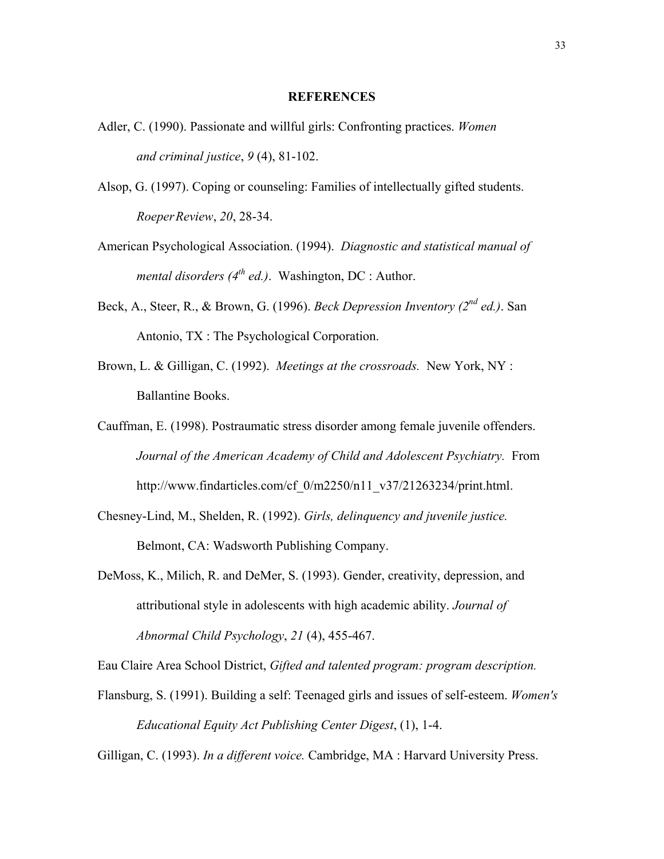### **REFERENCES**

- Adler, C. (1990). Passionate and willful girls: Confronting practices. *Women and criminal justice*, *9* (4), 81-102.
- Alsop, G. (1997). Coping or counseling: Families of intellectually gifted students. *Roeper Review*, *20*, 28-34.
- American Psychological Association. (1994). *Diagnostic and statistical manual of mental disorders (4th ed.)*. Washington, DC : Author.
- Beck, A., Steer, R., & Brown, G. (1996). *Beck Depression Inventory (2nd ed.)*. San Antonio, TX : The Psychological Corporation.
- Brown, L. & Gilligan, C. (1992). *Meetings at the crossroads.* New York, NY : Ballantine Books.
- Cauffman, E. (1998). Postraumatic stress disorder among female juvenile offenders. *Journal of the American Academy of Child and Adolescent Psychiatry.* From http://www.findarticles.com/cf\_0/m2250/n11\_v37/21263234/print.html.
- Chesney-Lind, M., Shelden, R. (1992). *Girls, delinquency and juvenile justice.* Belmont, CA: Wadsworth Publishing Company.
- DeMoss, K., Milich, R. and DeMer, S. (1993). Gender, creativity, depression, and attributional style in adolescents with high academic ability. *Journal of Abnormal Child Psychology*, *21* (4), 455-467.

Eau Claire Area School District, *Gifted and talented program: program description.*

Flansburg, S. (1991). Building a self: Teenaged girls and issues of self-esteem. *Women's Educational Equity Act Publishing Center Digest*, (1), 1-4.

Gilligan, C. (1993). *In a different voice.* Cambridge, MA : Harvard University Press.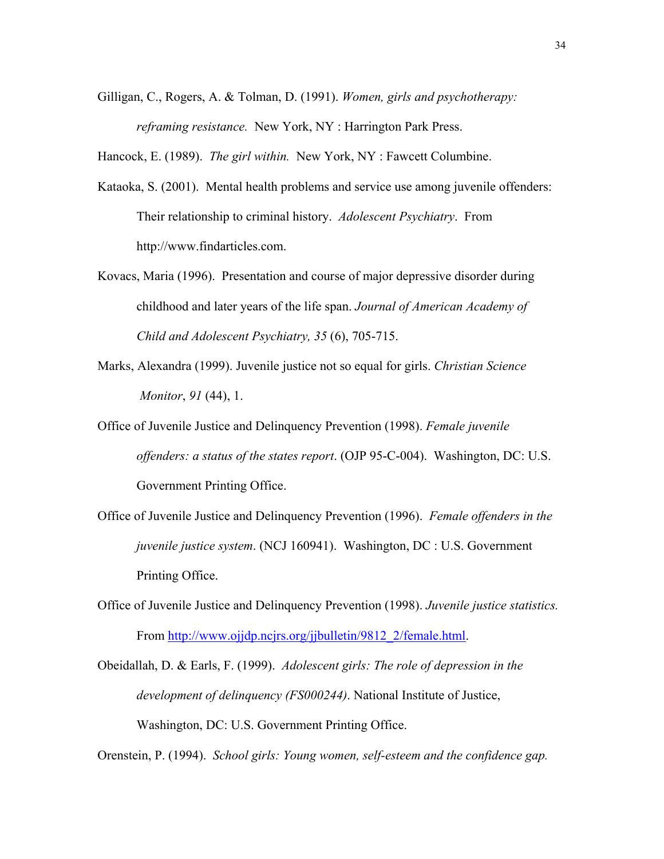Gilligan, C., Rogers, A. & Tolman, D. (1991). *Women, girls and psychotherapy: reframing resistance.* New York, NY : Harrington Park Press.

Hancock, E. (1989). *The girl within.* New York, NY : Fawcett Columbine.

- Kataoka, S. (2001). Mental health problems and service use among juvenile offenders: Their relationship to criminal history. *Adolescent Psychiatry*. From http://www.findarticles.com.
- Kovacs, Maria (1996). Presentation and course of major depressive disorder during childhood and later years of the life span. *Journal of American Academy of Child and Adolescent Psychiatry, 35* (6), 705-715.
- Marks, Alexandra (1999). Juvenile justice not so equal for girls. *Christian Science Monitor*, *91* (44), 1.
- Office of Juvenile Justice and Delinquency Prevention (1998). *Female juvenile offenders: a status of the states report*. (OJP 95-C-004). Washington, DC: U.S. Government Printing Office.
- Office of Juvenile Justice and Delinquency Prevention (1996). *Female offenders in the juvenile justice system*. (NCJ 160941). Washington, DC : U.S. Government Printing Office.
- Office of Juvenile Justice and Delinquency Prevention (1998). *Juvenile justice statistics.*  From [http://www.ojjdp.ncjrs.org/jjbulletin/9812\\_2/female.html.](http://www.ojjdp.ncjrs.org/jjbulletin/9812_2/female.html)
- Obeidallah, D. & Earls, F. (1999). *Adolescent girls: The role of depression in the development of delinquency (FS000244)*. National Institute of Justice, Washington, DC: U.S. Government Printing Office.

Orenstein, P. (1994). *School girls: Young women, self-esteem and the confidence gap.*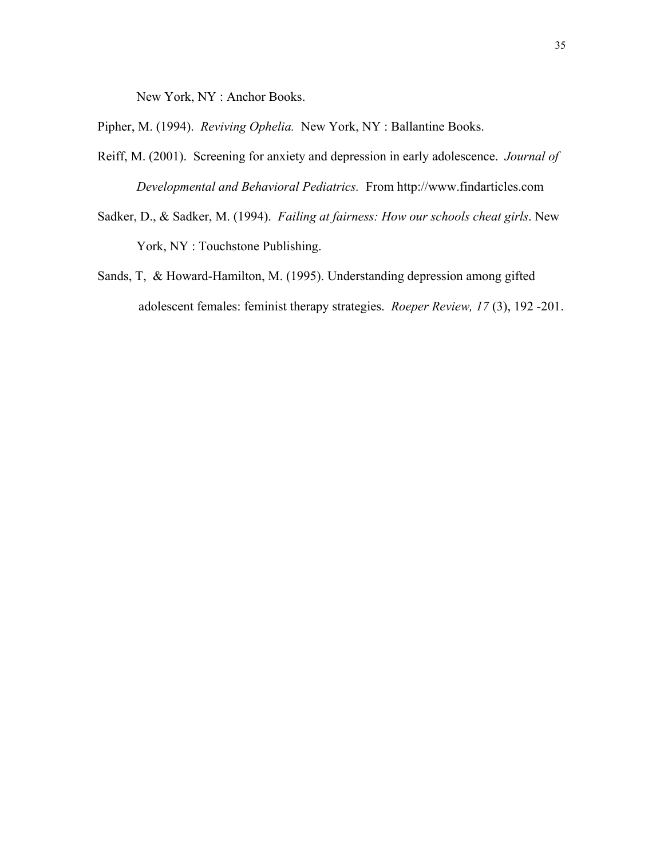New York, NY : Anchor Books.

Pipher, M. (1994). *Reviving Ophelia.* New York, NY : Ballantine Books.

- Reiff, M. (2001). Screening for anxiety and depression in early adolescence. *Journal of Developmental and Behavioral Pediatrics.* From http://www.findarticles.com
- Sadker, D., & Sadker, M. (1994). *Failing at fairness: How our schools cheat girls*. New York, NY : Touchstone Publishing.
- Sands, T, & Howard-Hamilton, M. (1995). Understanding depression among gifted adolescent females: feminist therapy strategies. *Roeper Review, 17* (3), 192 -201.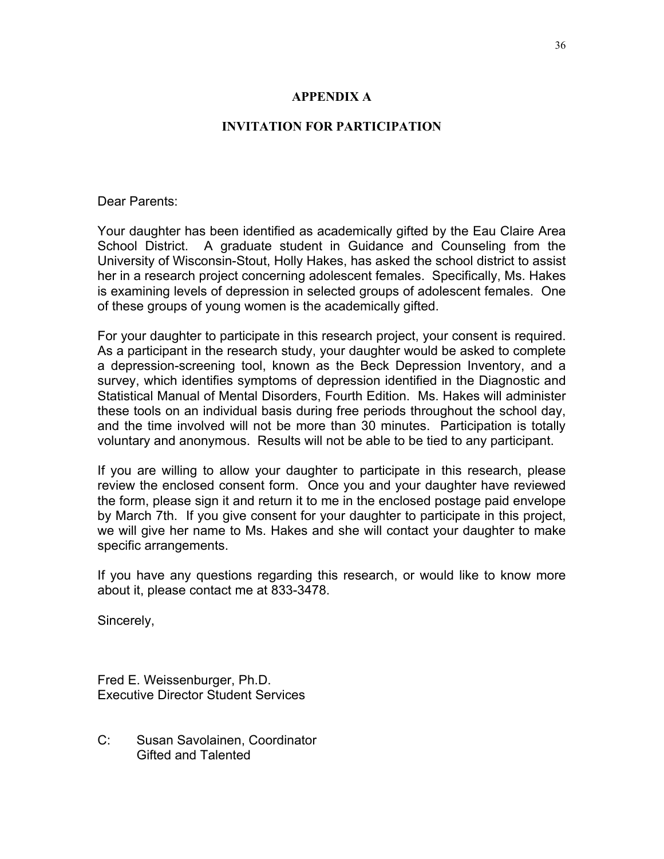# **APPENDIX A**

## **INVITATION FOR PARTICIPATION**

Dear Parents:

Your daughter has been identified as academically gifted by the Eau Claire Area School District. A graduate student in Guidance and Counseling from the University of Wisconsin-Stout, Holly Hakes, has asked the school district to assist her in a research project concerning adolescent females. Specifically, Ms. Hakes is examining levels of depression in selected groups of adolescent females. One of these groups of young women is the academically gifted.

For your daughter to participate in this research project, your consent is required. As a participant in the research study, your daughter would be asked to complete a depression-screening tool, known as the Beck Depression Inventory, and a survey, which identifies symptoms of depression identified in the Diagnostic and Statistical Manual of Mental Disorders, Fourth Edition. Ms. Hakes will administer these tools on an individual basis during free periods throughout the school day, and the time involved will not be more than 30 minutes. Participation is totally voluntary and anonymous. Results will not be able to be tied to any participant.

If you are willing to allow your daughter to participate in this research, please review the enclosed consent form. Once you and your daughter have reviewed the form, please sign it and return it to me in the enclosed postage paid envelope by March 7th. If you give consent for your daughter to participate in this project, we will give her name to Ms. Hakes and she will contact your daughter to make specific arrangements.

If you have any questions regarding this research, or would like to know more about it, please contact me at 833-3478.

Sincerely,

Fred E. Weissenburger, Ph.D. Executive Director Student Services

C: Susan Savolainen, Coordinator Gifted and Talented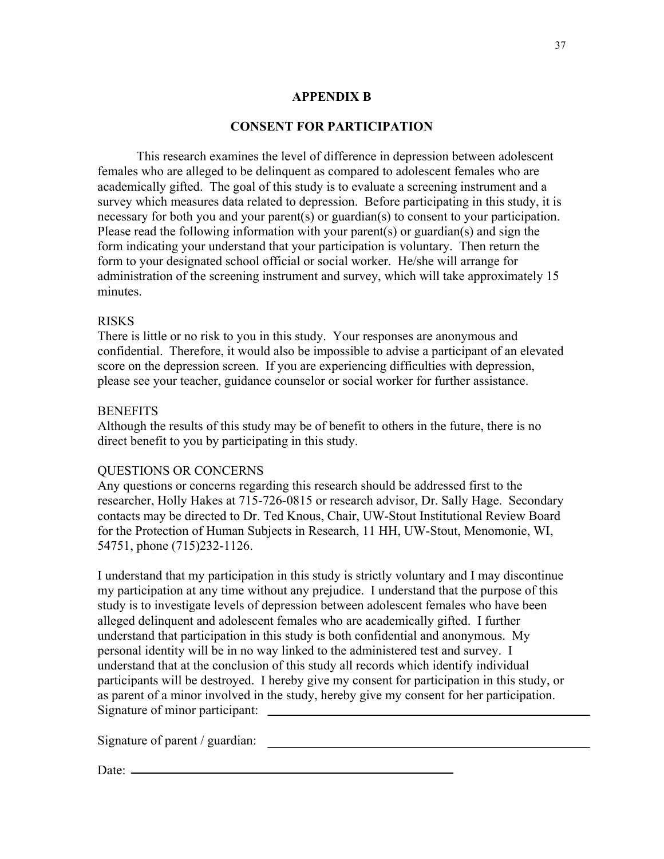## **APPENDIX B**

# **CONSENT FOR PARTICIPATION**

This research examines the level of difference in depression between adolescent females who are alleged to be delinquent as compared to adolescent females who are academically gifted. The goal of this study is to evaluate a screening instrument and a survey which measures data related to depression. Before participating in this study, it is necessary for both you and your parent(s) or guardian(s) to consent to your participation. Please read the following information with your parent(s) or guardian(s) and sign the form indicating your understand that your participation is voluntary. Then return the form to your designated school official or social worker. He/she will arrange for administration of the screening instrument and survey, which will take approximately 15 minutes.

#### RISKS

There is little or no risk to you in this study. Your responses are anonymous and confidential. Therefore, it would also be impossible to advise a participant of an elevated score on the depression screen. If you are experiencing difficulties with depression, please see your teacher, guidance counselor or social worker for further assistance.

## **BENEFITS**

Although the results of this study may be of benefit to others in the future, there is no direct benefit to you by participating in this study.

#### QUESTIONS OR CONCERNS

Any questions or concerns regarding this research should be addressed first to the researcher, Holly Hakes at 715-726-0815 or research advisor, Dr. Sally Hage. Secondary contacts may be directed to Dr. Ted Knous, Chair, UW-Stout Institutional Review Board for the Protection of Human Subjects in Research, 11 HH, UW-Stout, Menomonie, WI, 54751, phone (715)232-1126.

I understand that my participation in this study is strictly voluntary and I may discontinue my participation at any time without any prejudice. I understand that the purpose of this study is to investigate levels of depression between adolescent females who have been alleged delinquent and adolescent females who are academically gifted. I further understand that participation in this study is both confidential and anonymous. My personal identity will be in no way linked to the administered test and survey. I understand that at the conclusion of this study all records which identify individual participants will be destroyed. I hereby give my consent for participation in this study, or as parent of a minor involved in the study, hereby give my consent for her participation. Signature of minor participant:

Signature of parent / guardian:

Date: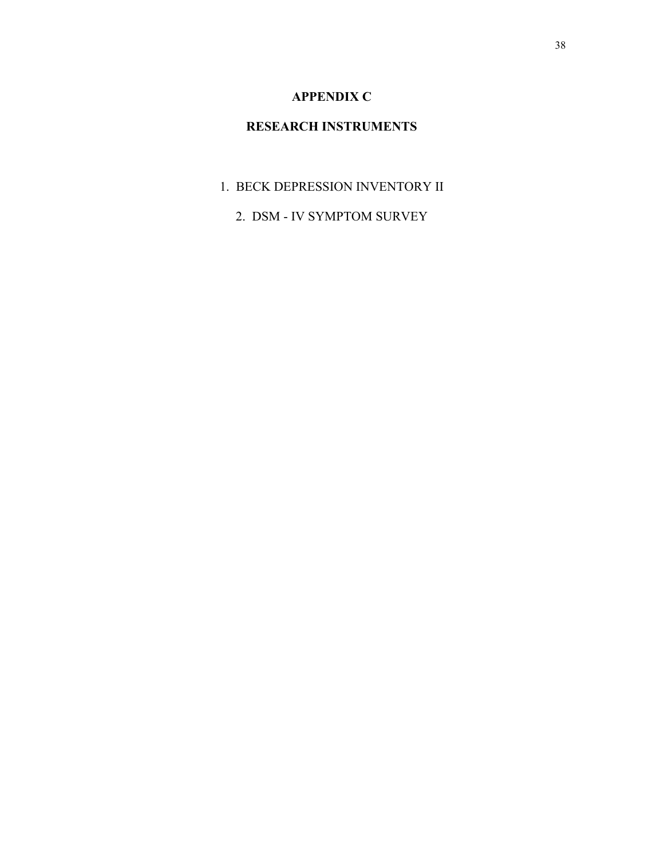# **APPENDIX C**

# **RESEARCH INSTRUMENTS**

- 1. BECK DEPRESSION INVENTORY II
	- 2. DSM IV SYMPTOM SURVEY